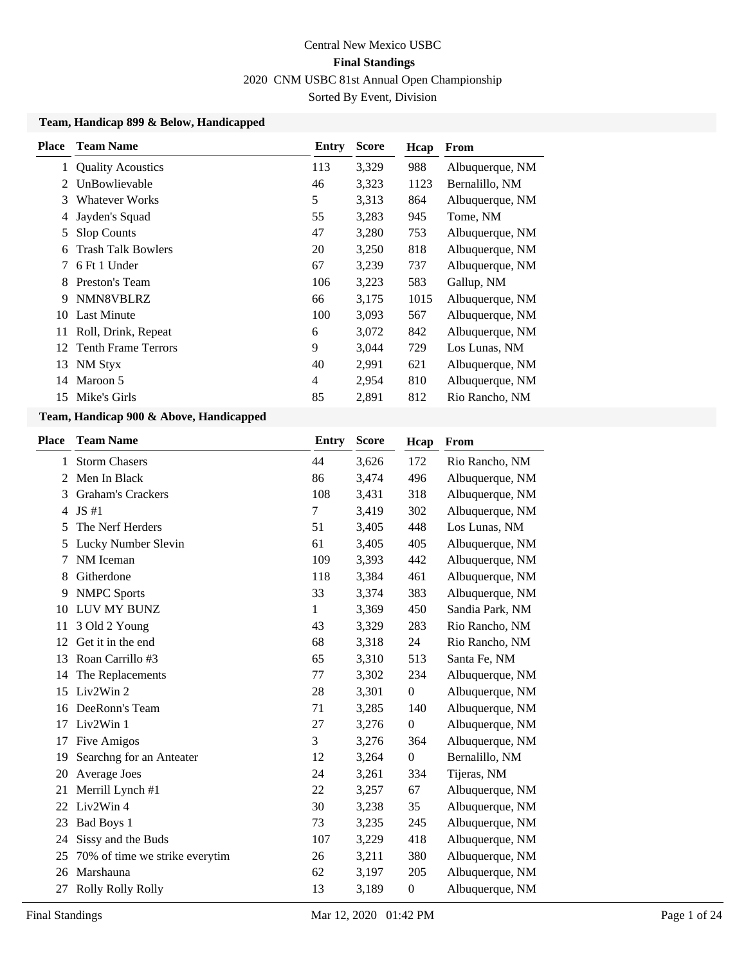### **Team, Handicap 899 & Below, Handicapped**

| Place | <b>Team Name</b>           | Entry | <b>Score</b> | Hcap | <b>From</b>     |
|-------|----------------------------|-------|--------------|------|-----------------|
|       | <b>Quality Acoustics</b>   | 113   | 3,329        | 988  | Albuquerque, NM |
| 2     | UnBowlievable              | 46    | 3,323        | 1123 | Bernalillo, NM  |
| 3     | <b>Whatever Works</b>      | 5     | 3,313        | 864  | Albuquerque, NM |
| 4     | Jayden's Squad             | 55    | 3,283        | 945  | Tome, NM        |
| 5     | <b>Slop Counts</b>         | 47    | 3,280        | 753  | Albuquerque, NM |
| 6     | <b>Trash Talk Bowlers</b>  | 20    | 3,250        | 818  | Albuquerque, NM |
| 7     | 6 Ft 1 Under               | 67    | 3,239        | 737  | Albuquerque, NM |
| 8     | Preston's Team             | 106   | 3,223        | 583  | Gallup, NM      |
| 9     | NMN8VBLRZ                  | 66    | 3,175        | 1015 | Albuquerque, NM |
| 10    | Last Minute                | 100   | 3,093        | 567  | Albuquerque, NM |
| 11    | Roll, Drink, Repeat        | 6     | 3,072        | 842  | Albuquerque, NM |
| 12    | <b>Tenth Frame Terrors</b> | 9     | 3,044        | 729  | Los Lunas, NM   |
| 13    | NM Styx                    | 40    | 2,991        | 621  | Albuquerque, NM |
| 14    | Maroon 5                   | 4     | 2,954        | 810  | Albuquerque, NM |
| 15    | Mike's Girls               | 85    | 2,891        | 812  | Rio Rancho, NM  |
|       |                            |       |              |      |                 |

### **Team, Handicap 900 & Above, Handicapped**

| Place | <b>Team Name</b>               | <b>Entry</b> | <b>Score</b> | Hcap             | From            |
|-------|--------------------------------|--------------|--------------|------------------|-----------------|
| 1     | <b>Storm Chasers</b>           | 44           | 3,626        | 172              | Rio Rancho, NM  |
| 2     | Men In Black                   | 86           | 3,474        | 496              | Albuquerque, NM |
| 3     | <b>Graham's Crackers</b>       | 108          | 3,431        | 318              | Albuquerque, NM |
| 4     | JS#1                           | 7            | 3,419        | 302              | Albuquerque, NM |
| 5     | The Nerf Herders               | 51           | 3,405        | 448              | Los Lunas, NM   |
| 5     | Lucky Number Slevin            | 61           | 3,405        | 405              | Albuquerque, NM |
| 7     | NM Iceman                      | 109          | 3,393        | 442              | Albuquerque, NM |
| 8     | Githerdone                     | 118          | 3,384        | 461              | Albuquerque, NM |
| 9     | <b>NMPC</b> Sports             | 33           | 3,374        | 383              | Albuquerque, NM |
| 10    | LUV MY BUNZ                    | 1            | 3,369        | 450              | Sandia Park, NM |
| 11    | 3 Old 2 Young                  | 43           | 3,329        | 283              | Rio Rancho, NM  |
| 12    | Get it in the end              | 68           | 3,318        | 24               | Rio Rancho, NM  |
| 13    | Roan Carrillo #3               | 65           | 3,310        | 513              | Santa Fe, NM    |
| 14    | The Replacements               | 77           | 3,302        | 234              | Albuquerque, NM |
| 15    | Liv2Win 2                      | 28           | 3,301        | $\mathbf{0}$     | Albuquerque, NM |
| 16    | DeeRonn's Team                 | 71           | 3,285        | 140              | Albuquerque, NM |
| 17    | Liv2Win 1                      | 27           | 3,276        | $\overline{0}$   | Albuquerque, NM |
| 17    | Five Amigos                    | 3            | 3,276        | 364              | Albuquerque, NM |
| 19    | Searchng for an Anteater       | 12           | 3,264        | $\mathbf{0}$     | Bernalillo, NM  |
| 20    | Average Joes                   | 24           | 3,261        | 334              | Tijeras, NM     |
| 21    | Merrill Lynch #1               | 22           | 3,257        | 67               | Albuquerque, NM |
| 22    | Liv2Win 4                      | 30           | 3,238        | 35               | Albuquerque, NM |
| 23    | Bad Boys 1                     | 73           | 3,235        | 245              | Albuquerque, NM |
| 24    | Sissy and the Buds             | 107          | 3,229        | 418              | Albuquerque, NM |
| 25    | 70% of time we strike everytim | 26           | 3,211        | 380              | Albuquerque, NM |
| 26    | Marshauna                      | 62           | 3,197        | 205              | Albuquerque, NM |
| 27    | Rolly Rolly Rolly              | 13           | 3,189        | $\boldsymbol{0}$ | Albuquerque, NM |
|       |                                |              |              |                  |                 |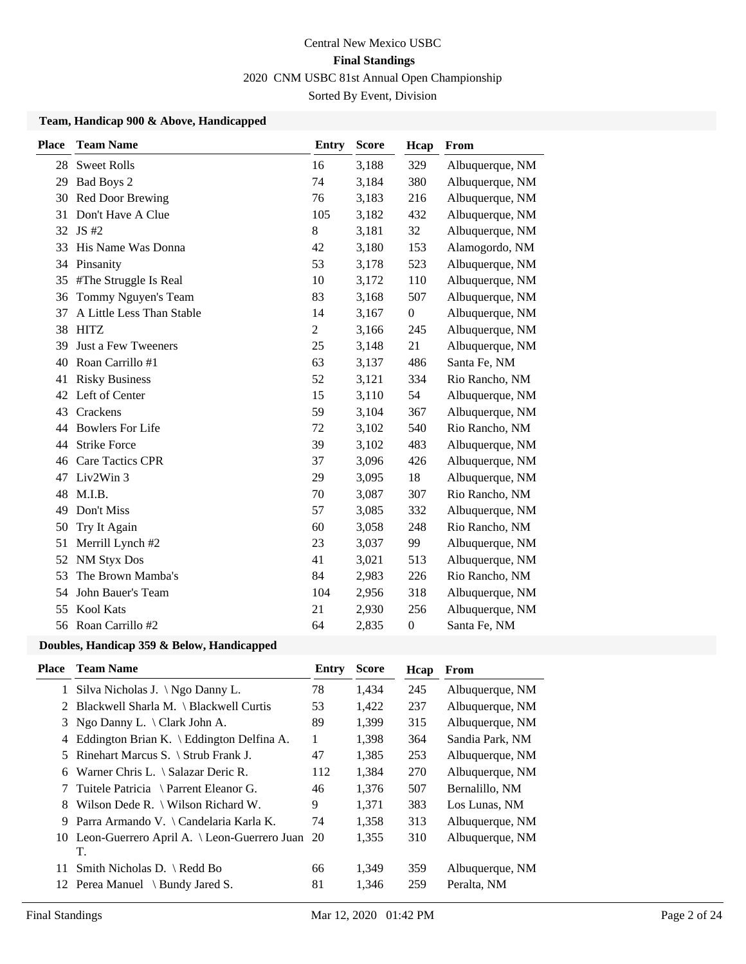### **Team, Handicap 900 & Above, Handicapped**

| <b>Place</b> | <b>Team Name</b>          | <b>Entry</b>   | <b>Score</b> | Hcap             | From            |
|--------------|---------------------------|----------------|--------------|------------------|-----------------|
| 28           | <b>Sweet Rolls</b>        | 16             | 3,188        | 329              | Albuquerque, NM |
| 29           | Bad Boys 2                | 74             | 3,184        | 380              | Albuquerque, NM |
| 30           | Red Door Brewing          | 76             | 3,183        | 216              | Albuquerque, NM |
| 31           | Don't Have A Clue         | 105            | 3,182        | 432              | Albuquerque, NM |
| 32           | JS #2                     | $8\,$          | 3,181        | 32               | Albuquerque, NM |
| 33           | His Name Was Donna        | 42             | 3,180        | 153              | Alamogordo, NM  |
| 34           | Pinsanity                 | 53             | 3,178        | 523              | Albuquerque, NM |
| 35           | #The Struggle Is Real     | 10             | 3,172        | 110              | Albuquerque, NM |
| 36           | Tommy Nguyen's Team       | 83             | 3,168        | 507              | Albuquerque, NM |
| 37           | A Little Less Than Stable | 14             | 3,167        | $\boldsymbol{0}$ | Albuquerque, NM |
| 38           | <b>HITZ</b>               | $\overline{2}$ | 3,166        | 245              | Albuquerque, NM |
| 39           | Just a Few Tweeners       | 25             | 3,148        | 21               | Albuquerque, NM |
| 40           | Roan Carrillo #1          | 63             | 3,137        | 486              | Santa Fe, NM    |
| 41           | <b>Risky Business</b>     | 52             | 3,121        | 334              | Rio Rancho, NM  |
| 42           | Left of Center            | 15             | 3,110        | 54               | Albuquerque, NM |
| 43           | Crackens                  | 59             | 3,104        | 367              | Albuquerque, NM |
| 44           | <b>Bowlers For Life</b>   | 72             | 3,102        | 540              | Rio Rancho, NM  |
| 44           | <b>Strike Force</b>       | 39             | 3,102        | 483              | Albuquerque, NM |
| 46           | <b>Care Tactics CPR</b>   | 37             | 3,096        | 426              | Albuquerque, NM |
| 47           | Liv2Win 3                 | 29             | 3,095        | 18               | Albuquerque, NM |
| 48           | M.I.B.                    | 70             | 3,087        | 307              | Rio Rancho, NM  |
| 49           | Don't Miss                | 57             | 3,085        | 332              | Albuquerque, NM |
| 50           | Try It Again              | 60             | 3,058        | 248              | Rio Rancho, NM  |
| 51           | Merrill Lynch #2          | 23             | 3,037        | 99               | Albuquerque, NM |
| 52           | <b>NM Styx Dos</b>        | 41             | 3,021        | 513              | Albuquerque, NM |
| 53           | The Brown Mamba's         | 84             | 2,983        | 226              | Rio Rancho, NM  |
| 54           | John Bauer's Team         | 104            | 2,956        | 318              | Albuquerque, NM |
| 55           | Kool Kats                 | 21             | 2,930        | 256              | Albuquerque, NM |
| 56           | Roan Carrillo #2          | 64             | 2,835        | $\boldsymbol{0}$ | Santa Fe, NM    |

## **Doubles, Handicap 359 & Below, Handicapped**

| Place | <b>Team Name</b>                                     | Entry | <b>Score</b> | Hcap | From            |
|-------|------------------------------------------------------|-------|--------------|------|-----------------|
|       | 1 Silva Nicholas J. \Ngo Danny L.                    | 78    | 1,434        | 245  | Albuquerque, NM |
| 2     | Blackwell Sharla M. \ Blackwell Curtis               | 53    | 1,422        | 237  | Albuquerque, NM |
| 3     | Ngo Danny L. $\langle$ Clark John A.                 | 89    | 1,399        | 315  | Albuquerque, NM |
| 4     | Eddington Brian K. $\setminus$ Eddington Delfina A.  | 1     | 1,398        | 364  | Sandia Park, NM |
|       | 5 Rinehart Marcus S. \ Strub Frank J.                | 47    | 1,385        | 253  | Albuquerque, NM |
| 6     | Warner Chris L. $\setminus$ Salazar Deric R.         | 112   | 1,384        | 270  | Albuquerque, NM |
| 7     | Tuitele Patricia \ Parrent Eleanor G.                | 46    | 1,376        | 507  | Bernalillo, NM  |
| 8     | Wilson Dede R. $\setminus$ Wilson Richard W.         | 9     | 1,371        | 383  | Los Lunas, NM   |
| 9     | Parra Armando V. \ Candelaria Karla K.               | 74    | 1,358        | 313  | Albuquerque, NM |
|       | 10 Leon-Guerrero April A. \ Leon-Guerrero Juan<br>T. | 20    | 1,355        | 310  | Albuquerque, NM |
| 11    | Smith Nicholas D. $\Re$ Redd Bo                      | 66    | 1,349        | 359  | Albuquerque, NM |
| 12    | Perea Manuel \ Bundy Jared S.                        | 81    | 1,346        | 259  | Peralta, NM     |
|       |                                                      |       |              |      |                 |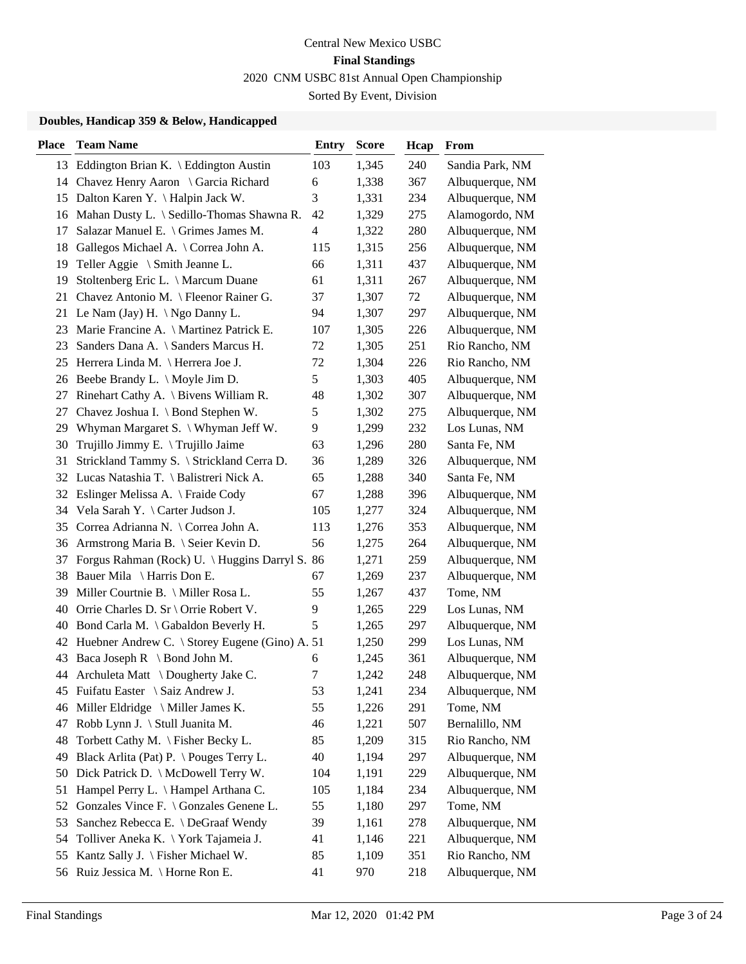### **Doubles, Handicap 359 & Below, Handicapped**

| <b>Place</b> | <b>Team Name</b>                                  | <b>Entry</b> | <b>Score</b> | Hcap    | From            |
|--------------|---------------------------------------------------|--------------|--------------|---------|-----------------|
|              | 13 Eddington Brian K. \ Eddington Austin          | 103          | 1,345        | 240     | Sandia Park, NM |
|              | 14 Chavez Henry Aaron \ Garcia Richard            | 6            | 1,338        | 367     | Albuquerque, NM |
|              | 15 Dalton Karen Y. \ Halpin Jack W.               | 3            | 1,331        | 234     | Albuquerque, NM |
|              | 16 Mahan Dusty L. \ Sedillo-Thomas Shawna R.      | 42           | 1,329        | 275     | Alamogordo, NM  |
| 17           | Salazar Manuel E. \ Grimes James M.               | 4            | 1,322        | 280     | Albuquerque, NM |
| 18           | Gallegos Michael A. \ Correa John A.              | 115          | 1,315        | 256     | Albuquerque, NM |
| 19           | Teller Aggie $\setminus$ Smith Jeanne L.          | 66           | 1,311        | 437     | Albuquerque, NM |
| 19           | Stoltenberg Eric L. \ Marcum Duane                | 61           | 1,311        | 267     | Albuquerque, NM |
| 21           | Chavez Antonio M. \ Fleenor Rainer G.             | 37           | 1,307        | 72      | Albuquerque, NM |
| 21           | Le Nam (Jay) H. $\ngo$ Danny L.                   | 94           | 1,307        | 297     | Albuquerque, NM |
| 23           | Marie Francine A. \ Martinez Patrick E.           | 107          | 1,305        | 226     | Albuquerque, NM |
| 23           | Sanders Dana A. \ Sanders Marcus H.               | 72           | 1,305        | 251     | Rio Rancho, NM  |
| 25           | Herrera Linda M. \ Herrera Joe J.                 | 72           | 1,304        | 226     | Rio Rancho, NM  |
|              | 26 Beebe Brandy L. \ Moyle Jim D.                 | 5            | 1,303        | 405     | Albuquerque, NM |
|              | 27 Rinehart Cathy A. \ Bivens William R.          | 48           | 1,302        | 307     | Albuquerque, NM |
| 27           | Chavez Joshua I. \ Bond Stephen W.                | 5            | 1,302        | 275     | Albuquerque, NM |
| 29           | Whyman Margaret S. \ Whyman Jeff W.               | 9            | 1,299        | 232     | Los Lunas, NM   |
| 30           | Trujillo Jimmy E. \Trujillo Jaime                 | 63           | 1,296        | 280     | Santa Fe, NM    |
| 31           | Strickland Tammy S. \ Strickland Cerra D.         | 36           | 1,289        | 326     | Albuquerque, NM |
|              | 32 Lucas Natashia T. \ Balistreri Nick A.         | 65           | 1,288        | 340     | Santa Fe, NM    |
| 32           | Eslinger Melissa A. \ Fraide Cody                 | 67           | 1,288        | 396     | Albuquerque, NM |
| 34           | Vela Sarah Y. \ Carter Judson J.                  | 105          | 1,277        | 324     | Albuquerque, NM |
|              | 35 Correa Adrianna N. \ Correa John A.            | 113          | 1,276        | 353     | Albuquerque, NM |
| 36           | Armstrong Maria B. \ Seier Kevin D.               | 56           | 1,275        | 264     | Albuquerque, NM |
| 37           | Forgus Rahman (Rock) U. \Huggins Darryl S. 86     |              | 1,271        | 259     | Albuquerque, NM |
| 38           | Bauer Mila \ Harris Don E.                        | 67           | 1,269        | 237     | Albuquerque, NM |
| 39           | Miller Courtnie B. \ Miller Rosa L.               | 55           | 1,267        | 437     | Tome, NM        |
| 40           | Orrie Charles D. Sr \ Orrie Robert V.             | 9            | 1,265        | 229     | Los Lunas, NM   |
| 40           | Bond Carla M. \ Gabaldon Beverly H.               | 5            | 1,265        | 297     | Albuquerque, NM |
|              | 42 Huebner Andrew C. \ Storey Eugene (Gino) A. 51 |              | 1,250        | 299     | Los Lunas, NM   |
|              | 43 Baca Joseph R \ Bond John M.                   | 6            | 1,245        | 361     | Albuquerque, NM |
|              | 44 Archuleta Matt \ Dougherty Jake C.             | 7            | 1,242        | 248     | Albuquerque, NM |
|              | 45 Fuifatu Easter \ Saiz Andrew J.                | 53           | 1,241        | 234     | Albuquerque, NM |
| 46           | Miller Eldridge \ Miller James K.                 | 55           | 1,226        | 291     | Tome, NM        |
| 47           | Robb Lynn J. \ Stull Juanita M.                   | 46           | 1,221        | 507     | Bernalillo, NM  |
| 48           | Torbett Cathy M. \ Fisher Becky L.                | 85           | 1,209        | 315     | Rio Rancho, NM  |
| 49           | Black Arlita (Pat) P. \Pouges Terry L.            | 40           | 1,194        | 297     | Albuquerque, NM |
| 50           | Dick Patrick D. \ McDowell Terry W.               | 104          | 1,191        | 229     | Albuquerque, NM |
| 51           | Hampel Perry L. \ Hampel Arthana C.               | 105          | 1,184        | 234     | Albuquerque, NM |
| 52           | Gonzales Vince F. \ Gonzales Genene L.            | 55           | 1,180        | 297     | Tome, NM        |
| 53           | Sanchez Rebecca E. \ DeGraaf Wendy                | 39           | 1,161        | 278     | Albuquerque, NM |
| 54           | Tolliver Aneka K. \York Tajameia J.               | 41           | 1,146        | $221\,$ | Albuquerque, NM |
| 55           | Kantz Sally J. \ Fisher Michael W.                | 85           | 1,109        | 351     | Rio Rancho, NM  |
| 56           | Ruiz Jessica M. \ Horne Ron E.                    | 41           | 970          | 218     | Albuquerque, NM |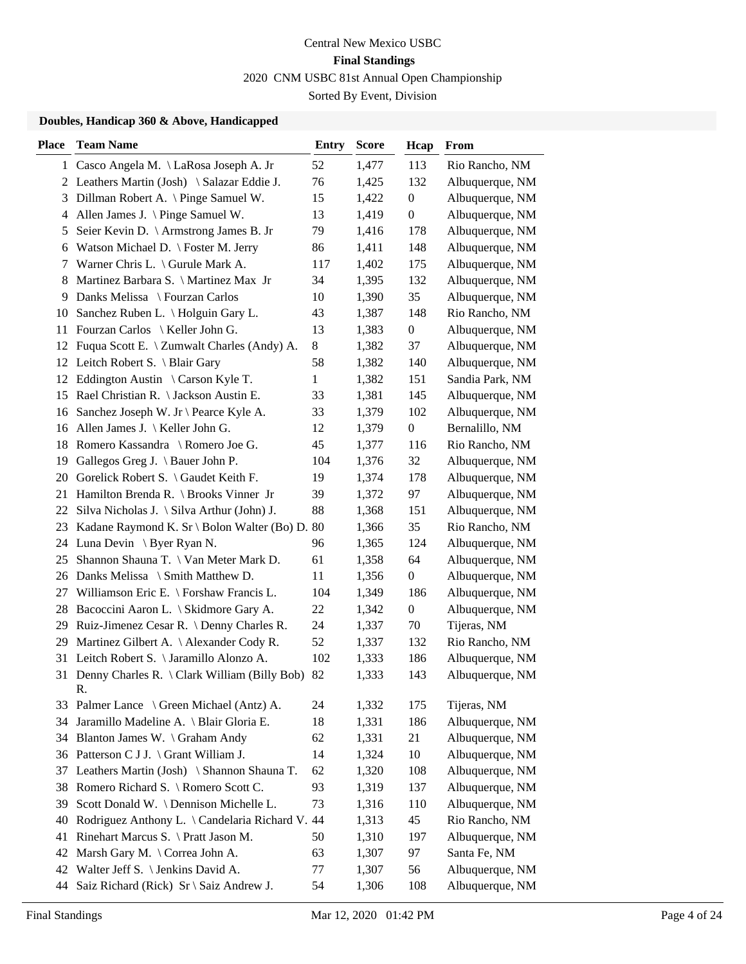### **Doubles, Handicap 360 & Above, Handicapped**

| Place | <b>Team Name</b>                                  | <b>Entry</b> | <b>Score</b> | Hcap             | From            |
|-------|---------------------------------------------------|--------------|--------------|------------------|-----------------|
|       | 1 Casco Angela M. \LaRosa Joseph A. Jr            | 52           | 1,477        | 113              | Rio Rancho, NM  |
|       | 2 Leathers Martin (Josh) \ Salazar Eddie J.       | 76           | 1,425        | 132              | Albuquerque, NM |
| 3     | Dillman Robert A. \ Pinge Samuel W.               | 15           | 1,422        | $\boldsymbol{0}$ | Albuquerque, NM |
| 4     | Allen James J. $\langle$ Pinge Samuel W.          | 13           | 1,419        | $\boldsymbol{0}$ | Albuquerque, NM |
| 5     | Seier Kevin D. \ Armstrong James B. Jr            | 79           | 1,416        | 178              | Albuquerque, NM |
| 6     | Watson Michael D. \ Foster M. Jerry               | 86           | 1,411        | 148              | Albuquerque, NM |
| 7     | Warner Chris L. $\setminus$ Gurule Mark A.        | 117          | 1,402        | 175              | Albuquerque, NM |
| 8     | Martinez Barbara S. \ Martinez Max Jr             | 34           | 1,395        | 132              | Albuquerque, NM |
| 9     | Danks Melissa \ Fourzan Carlos                    | 10           | 1,390        | 35               | Albuquerque, NM |
| 10    | Sanchez Ruben L. \ Holguin Gary L.                | 43           | 1,387        | 148              | Rio Rancho, NM  |
| 11    | Fourzan Carlos \ Keller John G.                   | 13           | 1,383        | $\boldsymbol{0}$ | Albuquerque, NM |
|       | 12 Fuqua Scott E. \ Zumwalt Charles (Andy) A.     | $8\,$        | 1,382        | 37               | Albuquerque, NM |
| 12    | Leitch Robert S. \ Blair Gary                     | 58           | 1,382        | 140              | Albuquerque, NM |
| 12    | Eddington Austin \ Carson Kyle T.                 | $\mathbf{1}$ | 1,382        | 151              | Sandia Park, NM |
|       | 15 Rael Christian R. \ Jackson Austin E.          | 33           | 1,381        | 145              | Albuquerque, NM |
| 16    | Sanchez Joseph W. Jr \ Pearce Kyle A.             | 33           | 1,379        | 102              | Albuquerque, NM |
| 16    | Allen James J. $\ \$ Keller John G.               | 12           | 1,379        | $\boldsymbol{0}$ | Bernalillo, NM  |
| 18    | Romero Kassandra \ Romero Joe G.                  | 45           | 1,377        | 116              | Rio Rancho, NM  |
| 19    | Gallegos Greg J. \ Bauer John P.                  | 104          | 1,376        | 32               | Albuquerque, NM |
| 20    | Gorelick Robert S. \ Gaudet Keith F.              | 19           | 1,374        | 178              | Albuquerque, NM |
| 21    | Hamilton Brenda R. \ Brooks Vinner Jr             | 39           | 1,372        | 97               | Albuquerque, NM |
| 22    | Silva Nicholas J. \ Silva Arthur (John) J.        | 88           | 1,368        | 151              | Albuquerque, NM |
|       | 23 Kadane Raymond K. Sr \ Bolon Walter (Bo) D. 80 |              | 1,366        | 35               | Rio Rancho, NM  |
|       | 24 Luna Devin \ Byer Ryan N.                      | 96           | 1,365        | 124              | Albuquerque, NM |
| 25    | Shannon Shauna T. \ Van Meter Mark D.             | 61           | 1,358        | 64               | Albuquerque, NM |
| 26    | Danks Melissa \ Smith Matthew D.                  | 11           | 1,356        | $\boldsymbol{0}$ | Albuquerque, NM |
|       | 27 Williamson Eric E. \ Forshaw Francis L.        | 104          | 1,349        | 186              | Albuquerque, NM |
| 28    | Bacoccini Aaron L. \ Skidmore Gary A.             | 22           | 1,342        | $\boldsymbol{0}$ | Albuquerque, NM |
| 29    | Ruiz-Jimenez Cesar R. \ Denny Charles R.          | 24           | 1,337        | 70               | Tijeras, NM     |
| 29    | Martinez Gilbert A. \ Alexander Cody R.           | 52           | 1,337        | 132              | Rio Rancho, NM  |
| 31    | Leitch Robert S. \ Jaramillo Alonzo A.            | 102          | 1,333        | 186              | Albuquerque, NM |
| 31    | Denny Charles R. \ Clark William (Billy Bob)      | 82           | 1,333        | 143              | Albuquerque, NM |
|       | R.                                                |              |              |                  |                 |
| 33    | Palmer Lance \ Green Michael (Antz) A.            | 24           | 1,332        | 175              | Tijeras, NM     |
| 34    | Jaramillo Madeline A. \ Blair Gloria E.           | 18           | 1,331        | 186              | Albuquerque, NM |
| 34    | Blanton James W. \ Graham Andy                    | 62           | 1,331        | 21               | Albuquerque, NM |
| 36    | Patterson C J J. \ Grant William J.               | 14           | 1,324        | 10               | Albuquerque, NM |
| 37    | Leathers Martin (Josh) \ Shannon Shauna T.        | 62           | 1,320        | 108              | Albuquerque, NM |
| 38    | Romero Richard S. \ Romero Scott C.               | 93           | 1,319        | 137              | Albuquerque, NM |
| 39    | Scott Donald W. \ Dennison Michelle L.            | 73           | 1,316        | 110              | Albuquerque, NM |
| 40    | Rodriguez Anthony L. \ Candelaria Richard V. 44   |              | 1,313        | 45               | Rio Rancho, NM  |
| 41    | Rinehart Marcus S. \ Pratt Jason M.               | 50           | 1,310        | 197              | Albuquerque, NM |
| 42    | Marsh Gary M. \ Correa John A.                    | 63           | 1,307        | 97               | Santa Fe, NM    |
| 42    | Walter Jeff S. \ Jenkins David A.                 | 77           | 1,307        | 56               | Albuquerque, NM |
| 44    | Saiz Richard (Rick) Sr \ Saiz Andrew J.           | 54           | 1,306        | 108              | Albuquerque, NM |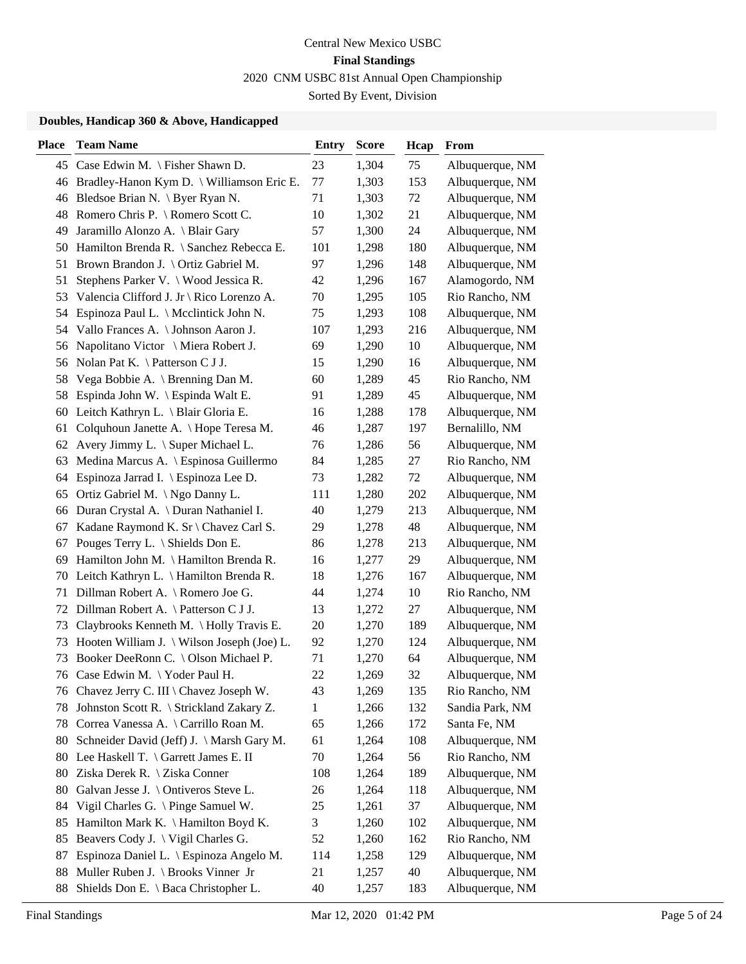### **Doubles, Handicap 360 & Above, Handicapped**

| Place | <b>Team Name</b>                             | Entry | <b>Score</b> | Hcap | From            |
|-------|----------------------------------------------|-------|--------------|------|-----------------|
|       | 45 Case Edwin M. \ Fisher Shawn D.           | 23    | 1,304        | 75   | Albuquerque, NM |
|       | 46 Bradley-Hanon Kym D. \ Williamson Eric E. | 77    | 1,303        | 153  | Albuquerque, NM |
|       | 46 Bledsoe Brian N. \ Byer Ryan N.           | 71    | 1,303        | 72   | Albuquerque, NM |
| 48    | Romero Chris P. \ Romero Scott C.            | 10    | 1,302        | 21   | Albuquerque, NM |
| 49    | Jaramillo Alonzo A. \ Blair Gary             | 57    | 1,300        | 24   | Albuquerque, NM |
| 50    | Hamilton Brenda R. \ Sanchez Rebecca E.      | 101   | 1,298        | 180  | Albuquerque, NM |
| 51    | Brown Brandon J. \ Ortiz Gabriel M.          | 97    | 1,296        | 148  | Albuquerque, NM |
| 51    | Stephens Parker V. \ Wood Jessica R.         | 42    | 1,296        | 167  | Alamogordo, NM  |
| 53    | Valencia Clifford J. Jr \ Rico Lorenzo A.    | 70    | 1,295        | 105  | Rio Rancho, NM  |
| 54    | Espinoza Paul L. \ Mcclintick John N.        | 75    | 1,293        | 108  | Albuquerque, NM |
| 54    | Vallo Frances A. \ Johnson Aaron J.          | 107   | 1,293        | 216  | Albuquerque, NM |
| 56    | Napolitano Victor \ Miera Robert J.          | 69    | 1,290        | 10   | Albuquerque, NM |
| 56    | Nolan Pat K. $\setminus$ Patterson C J J.    | 15    | 1,290        | 16   | Albuquerque, NM |
| 58    | Vega Bobbie A. \ Brenning Dan M.             | 60    | 1,289        | 45   | Rio Rancho, NM  |
| 58    | Espinda John W. \ Espinda Walt E.            | 91    | 1,289        | 45   | Albuquerque, NM |
| 60    | Leitch Kathryn L. \ Blair Gloria E.          | 16    | 1,288        | 178  | Albuquerque, NM |
| 61    | Colquhoun Janette A. \ Hope Teresa M.        | 46    | 1,287        | 197  | Bernalillo, NM  |
| 62    | Avery Jimmy L. \ Super Michael L.            | 76    | 1,286        | 56   | Albuquerque, NM |
| 63    | Medina Marcus A. \ Espinosa Guillermo        | 84    | 1,285        | 27   | Rio Rancho, NM  |
| 64    | Espinoza Jarrad I. \ Espinoza Lee D.         | 73    | 1,282        | 72   | Albuquerque, NM |
| 65    | Ortiz Gabriel M. \ Ngo Danny L.              | 111   | 1,280        | 202  | Albuquerque, NM |
| 66    | Duran Crystal A. \ Duran Nathaniel I.        | 40    | 1,279        | 213  | Albuquerque, NM |
| 67    | Kadane Raymond K. Sr \ Chavez Carl S.        | 29    | 1,278        | 48   | Albuquerque, NM |
| 67    | Pouges Terry L. \ Shields Don E.             | 86    | 1,278        | 213  | Albuquerque, NM |
| 69    | Hamilton John M. \ Hamilton Brenda R.        | 16    | 1,277        | 29   | Albuquerque, NM |
| 70    | Leitch Kathryn L. \ Hamilton Brenda R.       | 18    | 1,276        | 167  | Albuquerque, NM |
| 71    | Dillman Robert A. \ Romero Joe G.            | 44    | 1,274        | 10   | Rio Rancho, NM  |
| 72    | Dillman Robert A. \ Patterson C J J.         | 13    | 1,272        | 27   | Albuquerque, NM |
| 73    | Claybrooks Kenneth M. \Holly Travis E.       | 20    | 1,270        | 189  | Albuquerque, NM |
| 73    | Hooten William J. \ Wilson Joseph (Joe) L.   | 92    | 1,270        | 124  | Albuquerque, NM |
| 73    | Booker DeeRonn C. \ Olson Michael P.         | 71    | 1,270        | 64   | Albuquerque, NM |
|       | 76 Case Edwin M. \Yoder Paul H.              | 22    | 1,269        | 32   | Albuquerque, NM |
|       | 76 Chavez Jerry C. III \ Chavez Joseph W.    | 43    | 1,269        | 135  | Rio Rancho, NM  |
| 78    | Johnston Scott R. \ Strickland Zakary Z.     | 1     | 1,266        | 132  | Sandia Park, NM |
| 78    | Correa Vanessa A. \ Carrillo Roan M.         | 65    | 1,266        | 172  | Santa Fe, NM    |
| 80    | Schneider David (Jeff) J. \ Marsh Gary M.    | 61    | 1,264        | 108  | Albuquerque, NM |
| 80    | Lee Haskell T. \ Garrett James E. II         | 70    | 1,264        | 56   | Rio Rancho, NM  |
| 80    | Ziska Derek R. \ Ziska Conner                | 108   | 1,264        | 189  | Albuquerque, NM |
| 80    | Galvan Jesse J. \ Ontiveros Steve L.         | 26    | 1,264        | 118  | Albuquerque, NM |
| 84    | Vigil Charles G. \ Pinge Samuel W.           | 25    | 1,261        | 37   | Albuquerque, NM |
| 85    | Hamilton Mark K. \ Hamilton Boyd K.          | 3     | 1,260        | 102  | Albuquerque, NM |
| 85    | Beavers Cody J. \ Vigil Charles G.           | 52    | 1,260        | 162  | Rio Rancho, NM  |
| 87    | Espinoza Daniel L. \ Espinoza Angelo M.      | 114   | 1,258        | 129  | Albuquerque, NM |
| 88    | Muller Ruben J. \ Brooks Vinner Jr           | 21    | 1,257        | 40   | Albuquerque, NM |
| 88    | Shields Don E. \ Baca Christopher L.         | 40    | 1,257        | 183  | Albuquerque, NM |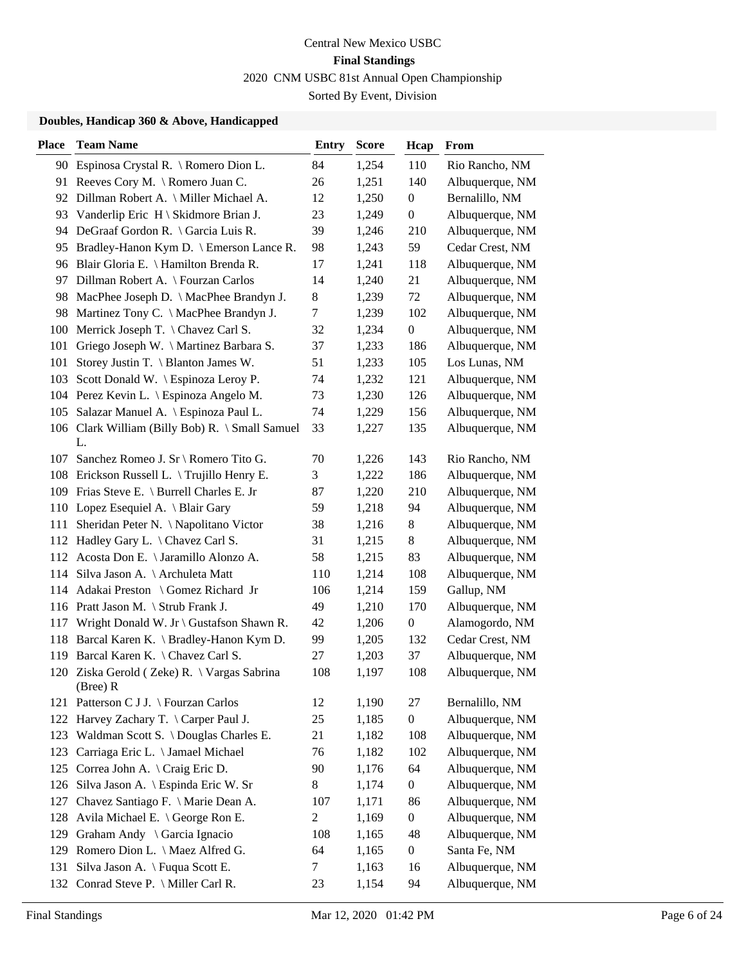### **Doubles, Handicap 360 & Above, Handicapped**

| <b>Place</b> | <b>Team Name</b>                                           | <b>Entry</b>   | <b>Score</b> | Hcap             | From            |
|--------------|------------------------------------------------------------|----------------|--------------|------------------|-----------------|
|              | 90 Espinosa Crystal R. \ Romero Dion L.                    | 84             | 1,254        | 110              | Rio Rancho, NM  |
|              | 91 Reeves Cory M. \Romero Juan C.                          | 26             | 1,251        | 140              | Albuquerque, NM |
|              | 92 Dillman Robert A. \ Miller Michael A.                   | 12             | 1,250        | $\boldsymbol{0}$ | Bernalillo, NM  |
| 93           | Vanderlip Eric H \ Skidmore Brian J.                       | 23             | 1,249        | $\overline{0}$   | Albuquerque, NM |
| 94           | DeGraaf Gordon R. \ Garcia Luis R.                         | 39             | 1,246        | 210              | Albuquerque, NM |
| 95           | Bradley-Hanon Kym D. \ Emerson Lance R.                    | 98             | 1,243        | 59               | Cedar Crest, NM |
|              | 96 Blair Gloria E. \ Hamilton Brenda R.                    | 17             | 1,241        | 118              | Albuquerque, NM |
| 97           | Dillman Robert A. \ Fourzan Carlos                         | 14             | 1,240        | 21               | Albuquerque, NM |
| 98           | MacPhee Joseph D. \ MacPhee Brandyn J.                     | 8              | 1,239        | 72               | Albuquerque, NM |
| 98           | Martinez Tony C. \ MacPhee Brandyn J.                      | 7              | 1,239        | 102              | Albuquerque, NM |
|              | 100 Merrick Joseph T. \ Chavez Carl S.                     | 32             | 1,234        | $\boldsymbol{0}$ | Albuquerque, NM |
| 101          | Griego Joseph W. \ Martinez Barbara S.                     | 37             | 1,233        | 186              | Albuquerque, NM |
| 101          | Storey Justin T. \ Blanton James W.                        | 51             | 1,233        | 105              | Los Lunas, NM   |
| 103          | Scott Donald W. \ Espinoza Leroy P.                        | 74             | 1,232        | 121              | Albuquerque, NM |
|              | 104 Perez Kevin L. \ Espinoza Angelo M.                    | 73             | 1,230        | 126              | Albuquerque, NM |
| 105          | Salazar Manuel A. \ Espinoza Paul L.                       | 74             | 1,229        | 156              | Albuquerque, NM |
|              | 106 Clark William (Billy Bob) R. \ Small Samuel<br>L.      | 33             | 1,227        | 135              | Albuquerque, NM |
| 107          | Sanchez Romeo J. Sr \ Romero Tito G.                       | 70             | 1,226        | 143              | Rio Rancho, NM  |
|              | 108 Erickson Russell L. \Trujillo Henry E.                 | 3              | 1,222        | 186              | Albuquerque, NM |
|              | 109 Frias Steve E. \ Burrell Charles E. Jr                 | 87             | 1,220        | 210              | Albuquerque, NM |
|              | 110 Lopez Esequiel A. \ Blair Gary                         | 59             | 1,218        | 94               | Albuquerque, NM |
| 111          | Sheridan Peter N. \ Napolitano Victor                      | 38             | 1,216        | 8                | Albuquerque, NM |
|              | 112 Hadley Gary L. \ Chavez Carl S.                        | 31             | 1,215        | $8\,$            | Albuquerque, NM |
|              | 112 Acosta Don E. \ Jaramillo Alonzo A.                    | 58             | 1,215        | 83               | Albuquerque, NM |
|              | 114 Silva Jason A. \ Archuleta Matt                        | 110            | 1,214        | 108              | Albuquerque, NM |
|              | 114 Adakai Preston \ Gomez Richard Jr                      | 106            | 1,214        | 159              | Gallup, NM      |
|              | 116 Pratt Jason M. \ Strub Frank J.                        | 49             | 1,210        | 170              | Albuquerque, NM |
|              | 117 Wright Donald W. Jr \ Gustafson Shawn R.               | 42             | 1,206        | $\boldsymbol{0}$ | Alamogordo, NM  |
| 118          | Barcal Karen K. \ Bradley-Hanon Kym D.                     | 99             | 1,205        | 132              | Cedar Crest, NM |
| 119          | Barcal Karen K. \ Chavez Carl S.                           | 27             | 1,203        | 37               | Albuquerque, NM |
|              | 120 Ziska Gerold (Zeke) R. \ Vargas Sabrina<br>(Bree) R    | 108            | 1,197        | 108              | Albuquerque, NM |
|              | 121 Patterson C J J. \ Fourzan Carlos                      | 12             | 1,190        | 27               | Bernalillo, NM  |
| 122          | Harvey Zachary T. \ Carper Paul J.                         | 25             | 1,185        | $\boldsymbol{0}$ | Albuquerque, NM |
| 123          | Waldman Scott S. \ Douglas Charles E.                      | 21             | 1,182        | 108              | Albuquerque, NM |
| 123          | Carriaga Eric L. \ Jamael Michael                          | 76             | 1,182        | 102              | Albuquerque, NM |
|              | 125 Correa John A. \ Craig Eric D.                         | 90             | 1,176        | 64               | Albuquerque, NM |
| 126          | Silva Jason A. \ Espinda Eric W. Sr                        | 8              | 1,174        | $\boldsymbol{0}$ | Albuquerque, NM |
| 127          | Chavez Santiago F. \ Marie Dean A.                         | 107            | 1,171        | 86               | Albuquerque, NM |
| 128          | Avila Michael E. $\operatorname{\backslash}$ George Ron E. | $\mathfrak{2}$ | 1,169        | $\boldsymbol{0}$ | Albuquerque, NM |
| 129          | Graham Andy \ Garcia Ignacio                               | 108            | 1,165        | 48               | Albuquerque, NM |
| 129          | Romero Dion L. \ Maez Alfred G.                            | 64             | 1,165        | $\overline{0}$   | Santa Fe, NM    |
| 131          | Silva Jason A. \ Fuqua Scott E.                            | 7              | 1,163        | 16               | Albuquerque, NM |
| 132          | Conrad Steve P. \ Miller Carl R.                           | 23             | 1,154        | 94               | Albuquerque, NM |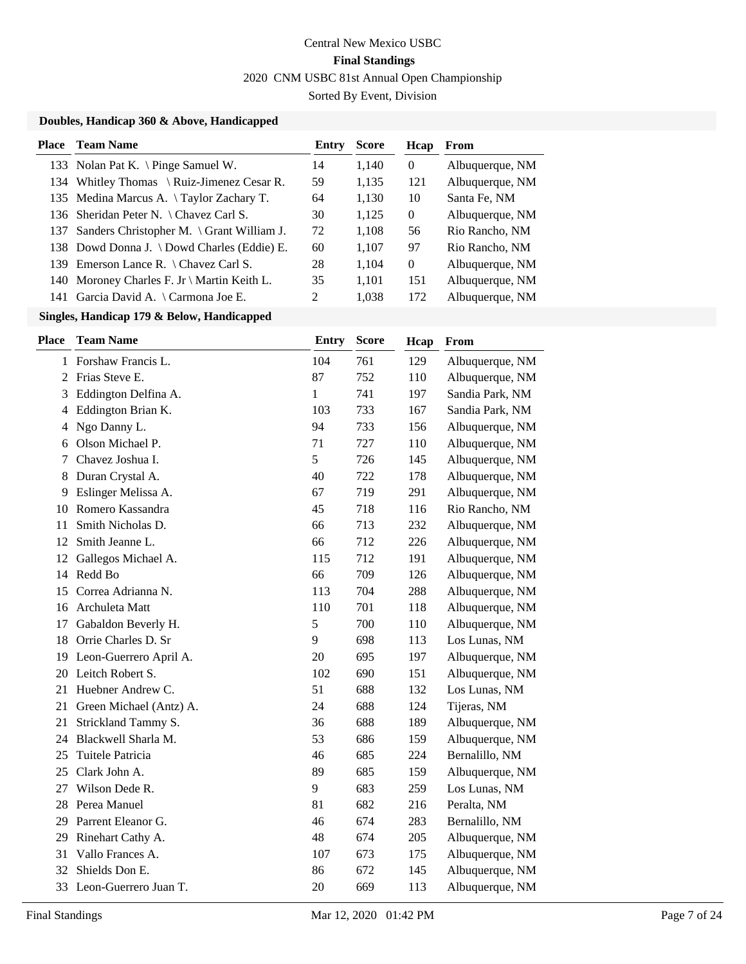### **Doubles, Handicap 360 & Above, Handicapped**

| Place | <b>Team Name</b>                              | Entry | <b>Score</b> | Hcap     | From            |
|-------|-----------------------------------------------|-------|--------------|----------|-----------------|
|       | 133 Nolan Pat K. \ Pinge Samuel W.            | 14    | 1.140        | $\theta$ | Albuquerque, NM |
|       | 134 Whitley Thomas \ Ruiz-Jimenez Cesar R.    | 59    | 1,135        | 121      | Albuquerque, NM |
|       | 135 Medina Marcus A. \Taylor Zachary T.       | 64    | 1,130        | 10       | Santa Fe, NM    |
|       | 136 Sheridan Peter N. \ Chavez Carl S.        | 30    | 1,125        | $\left($ | Albuquerque, NM |
|       | 137 Sanders Christopher M. \ Grant William J. | 72    | 1.108        | 56       | Rio Rancho, NM  |
|       | 138 Dowd Donna J. \ Dowd Charles (Eddie) E.   | 60    | 1,107        | 97       | Rio Rancho, NM  |
| 139.  | Emerson Lance R. $\setminus$ Chavez Carl S.   | 28    | 1,104        | $\Omega$ | Albuquerque, NM |
|       | 140 Moroney Charles F. Jr \ Martin Keith L.   | 35    | 1,101        | 151      | Albuquerque, NM |
| 141   | Garcia David A. \ Carmona Joe E.              | 2     | 1,038        | 172      | Albuquerque, NM |

### **Singles, Handicap 179 & Below, Handicapped**

| <b>Place</b> | <b>Team Name</b>        | <b>Entry</b> | <b>Score</b> | Hcap | From            |
|--------------|-------------------------|--------------|--------------|------|-----------------|
| 1            | Forshaw Francis L.      | 104          | 761          | 129  | Albuquerque, NM |
| 2            | Frias Steve E.          | 87           | 752          | 110  | Albuquerque, NM |
| 3            | Eddington Delfina A.    | $\mathbf{1}$ | 741          | 197  | Sandia Park, NM |
| 4            | Eddington Brian K.      | 103          | 733          | 167  | Sandia Park, NM |
| 4            | Ngo Danny L.            | 94           | 733          | 156  | Albuquerque, NM |
| 6            | Olson Michael P.        | 71           | 727          | 110  | Albuquerque, NM |
| 7            | Chavez Joshua I.        | 5            | 726          | 145  | Albuquerque, NM |
| 8            | Duran Crystal A.        | 40           | 722          | 178  | Albuquerque, NM |
| 9            | Eslinger Melissa A.     | 67           | 719          | 291  | Albuquerque, NM |
| 10           | Romero Kassandra        | 45           | 718          | 116  | Rio Rancho, NM  |
| 11           | Smith Nicholas D.       | 66           | 713          | 232  | Albuquerque, NM |
| 12           | Smith Jeanne L.         | 66           | 712          | 226  | Albuquerque, NM |
| 12           | Gallegos Michael A.     | 115          | 712          | 191  | Albuquerque, NM |
| 14           | Redd Bo                 | 66           | 709          | 126  | Albuquerque, NM |
| 15           | Correa Adrianna N.      | 113          | 704          | 288  | Albuquerque, NM |
| 16           | Archuleta Matt          | 110          | 701          | 118  | Albuquerque, NM |
| 17           | Gabaldon Beverly H.     | 5            | 700          | 110  | Albuquerque, NM |
| 18           | Orrie Charles D. Sr     | 9            | 698          | 113  | Los Lunas, NM   |
| 19           | Leon-Guerrero April A.  | 20           | 695          | 197  | Albuquerque, NM |
| 20           | Leitch Robert S.        | 102          | 690          | 151  | Albuquerque, NM |
| 21           | Huebner Andrew C.       | 51           | 688          | 132  | Los Lunas, NM   |
| 21           | Green Michael (Antz) A. | 24           | 688          | 124  | Tijeras, NM     |
| 21           | Strickland Tammy S.     | 36           | 688          | 189  | Albuquerque, NM |
| 24           | Blackwell Sharla M.     | 53           | 686          | 159  | Albuquerque, NM |
| 25           | Tuitele Patricia        | 46           | 685          | 224  | Bernalillo, NM  |
| 25           | Clark John A.           | 89           | 685          | 159  | Albuquerque, NM |
| 27           | Wilson Dede R.          | 9            | 683          | 259  | Los Lunas, NM   |
| 28           | Perea Manuel            | 81           | 682          | 216  | Peralta, NM     |
| 29           | Parrent Eleanor G.      | 46           | 674          | 283  | Bernalillo, NM  |
| 29           | Rinehart Cathy A.       | 48           | 674          | 205  | Albuquerque, NM |
| 31           | Vallo Frances A.        | 107          | 673          | 175  | Albuquerque, NM |
| 32           | Shields Don E.          | 86           | 672          | 145  | Albuquerque, NM |
| 33           | Leon-Guerrero Juan T.   | 20           | 669          | 113  | Albuquerque, NM |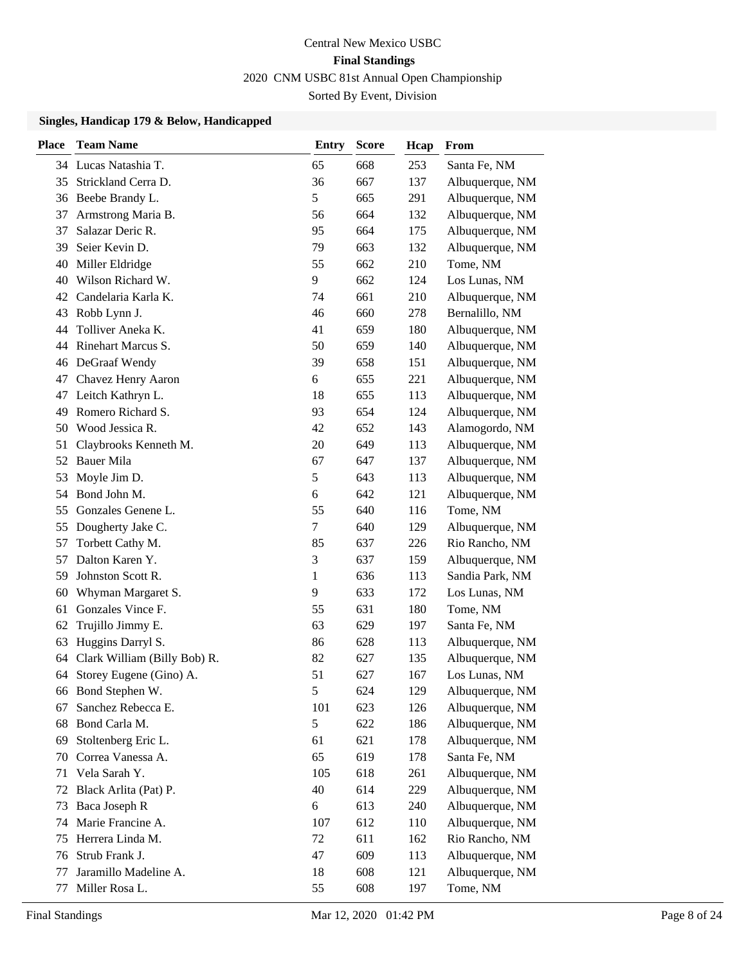## **Singles, Handicap 179 & Below, Handicapped**

| <b>Place</b> | <b>Team Name</b>             | <b>Entry</b>  | <b>Score</b> | Hcap | <b>From</b>     |
|--------------|------------------------------|---------------|--------------|------|-----------------|
|              | 34 Lucas Natashia T.         | 65            | 668          | 253  | Santa Fe, NM    |
| 35           | Strickland Cerra D.          | 36            | 667          | 137  | Albuquerque, NM |
| 36           | Beebe Brandy L.              | 5             | 665          | 291  | Albuquerque, NM |
| 37           | Armstrong Maria B.           | 56            | 664          | 132  | Albuquerque, NM |
| 37           | Salazar Deric R.             | 95            | 664          | 175  | Albuquerque, NM |
| 39           | Seier Kevin D.               | 79            | 663          | 132  | Albuquerque, NM |
| 40           | Miller Eldridge              | 55            | 662          | 210  | Tome, NM        |
| 40           | Wilson Richard W.            | 9             | 662          | 124  | Los Lunas, NM   |
| 42           | Candelaria Karla K.          | 74            | 661          | 210  | Albuquerque, NM |
| 43           | Robb Lynn J.                 | 46            | 660          | 278  | Bernalillo, NM  |
| 44           | Tolliver Aneka K.            | 41            | 659          | 180  | Albuquerque, NM |
| 44           | Rinehart Marcus S.           | 50            | 659          | 140  | Albuquerque, NM |
| 46           | DeGraaf Wendy                | 39            | 658          | 151  | Albuquerque, NM |
| 47           | Chavez Henry Aaron           | 6             | 655          | 221  | Albuquerque, NM |
| 47           | Leitch Kathryn L.            | 18            | 655          | 113  | Albuquerque, NM |
| 49           | Romero Richard S.            | 93            | 654          | 124  | Albuquerque, NM |
| 50           | Wood Jessica R.              | 42            | 652          | 143  | Alamogordo, NM  |
| 51           | Claybrooks Kenneth M.        | 20            | 649          | 113  | Albuquerque, NM |
| 52           | <b>Bauer Mila</b>            | 67            | 647          | 137  | Albuquerque, NM |
| 53           | Moyle Jim D.                 | 5             | 643          | 113  | Albuquerque, NM |
| 54           | Bond John M.                 | 6             | 642          | 121  | Albuquerque, NM |
| 55           | Gonzales Genene L.           | 55            | 640          | 116  | Tome, NM        |
| 55           | Dougherty Jake C.            | 7             | 640          | 129  | Albuquerque, NM |
| 57           | Torbett Cathy M.             | 85            | 637          | 226  | Rio Rancho, NM  |
| 57           | Dalton Karen Y.              | 3             | 637          | 159  | Albuquerque, NM |
| 59           | Johnston Scott R.            | 1             | 636          | 113  | Sandia Park, NM |
| 60           | Whyman Margaret S.           | 9             | 633          | 172  | Los Lunas, NM   |
| 61           | Gonzales Vince F.            | 55            | 631          | 180  | Tome, NM        |
| 62           | Trujillo Jimmy E.            | 63            | 629          | 197  | Santa Fe, NM    |
| 63           | Huggins Darryl S.            | 86            | 628          | 113  | Albuquerque, NM |
| 64           | Clark William (Billy Bob) R. | 82            | 627          | 135  | Albuquerque, NM |
| 64           | Storey Eugene (Gino) A.      | 51            | 627          | 167  | Los Lunas, NM   |
|              | 66 Bond Stephen W.           | $\mathfrak s$ | 624          | 129  | Albuquerque, NM |
| 67           | Sanchez Rebecca E.           | 101           | 623          | 126  | Albuquerque, NM |
| 68           | Bond Carla M.                | 5             | 622          | 186  | Albuquerque, NM |
| 69           | Stoltenberg Eric L.          | 61            | 621          | 178  | Albuquerque, NM |
| 70           | Correa Vanessa A.            | 65            | 619          | 178  | Santa Fe, NM    |
| 71           | Vela Sarah Y.                | 105           | 618          | 261  | Albuquerque, NM |
| 72           | Black Arlita (Pat) P.        | 40            | 614          | 229  | Albuquerque, NM |
| 73           | Baca Joseph R                | $6\,$         | 613          | 240  | Albuquerque, NM |
| 74           | Marie Francine A.            | 107           | 612          | 110  | Albuquerque, NM |
| 75           | Herrera Linda M.             | 72            | 611          | 162  | Rio Rancho, NM  |
| 76           | Strub Frank J.               | 47            | 609          | 113  | Albuquerque, NM |
| 77           | Jaramillo Madeline A.        | 18            | 608          | 121  | Albuquerque, NM |
| 77           | Miller Rosa L.               | 55            | 608          | 197  | Tome, NM        |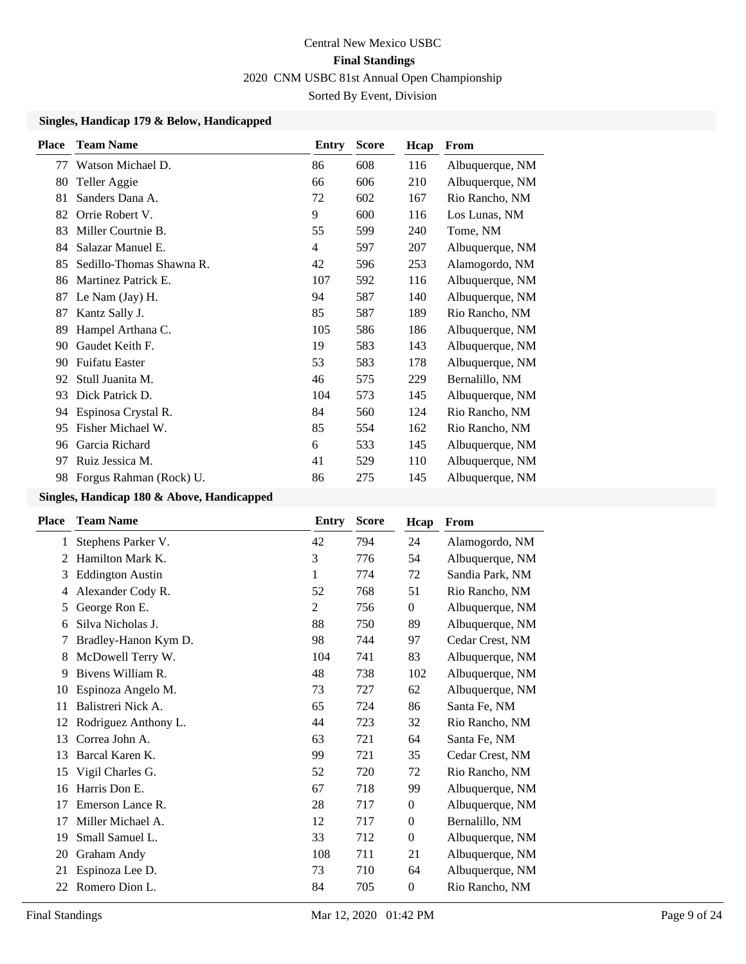### **Singles, Handicap 179 & Below, Handicapped**

| Place | <b>Team Name</b>         | Entry | <b>Score</b> | Hcap | From            |
|-------|--------------------------|-------|--------------|------|-----------------|
| 77    | Watson Michael D.        | 86    | 608          | 116  | Albuquerque, NM |
| 80    | Teller Aggie             | 66    | 606          | 210  | Albuquerque, NM |
| 81    | Sanders Dana A.          | 72    | 602          | 167  | Rio Rancho, NM  |
| 82    | Orrie Robert V.          | 9     | 600          | 116  | Los Lunas, NM   |
| 83    | Miller Courtnie B.       | 55    | 599          | 240  | Tome, NM        |
| 84    | Salazar Manuel E.        | 4     | 597          | 207  | Albuquerque, NM |
| 85    | Sedillo-Thomas Shawna R. | 42    | 596          | 253  | Alamogordo, NM  |
| 86    | Martinez Patrick E.      | 107   | 592          | 116  | Albuquerque, NM |
| 87    | Le Nam (Jay) H.          | 94    | 587          | 140  | Albuquerque, NM |
| 87    | Kantz Sally J.           | 85    | 587          | 189  | Rio Rancho, NM  |
| 89    | Hampel Arthana C.        | 105   | 586          | 186  | Albuquerque, NM |
| 90    | Gaudet Keith F.          | 19    | 583          | 143  | Albuquerque, NM |
| 90    | <b>Fuifatu Easter</b>    | 53    | 583          | 178  | Albuquerque, NM |
| 92    | Stull Juanita M.         | 46    | 575          | 229  | Bernalillo, NM  |
| 93    | Dick Patrick D.          | 104   | 573          | 145  | Albuquerque, NM |
| 94    | Espinosa Crystal R.      | 84    | 560          | 124  | Rio Rancho, NM  |
| 95    | Fisher Michael W.        | 85    | 554          | 162  | Rio Rancho, NM  |
| 96    | Garcia Richard           | 6     | 533          | 145  | Albuquerque, NM |
| 97    | Ruiz Jessica M.          | 41    | 529          | 110  | Albuquerque, NM |
| 98    | Forgus Rahman (Rock) U.  | 86    | 275          | 145  | Albuquerque, NM |

| <b>Place</b> | <b>Team Name</b>        | Entry | <b>Score</b> | Hcap             | From            |
|--------------|-------------------------|-------|--------------|------------------|-----------------|
| 1            | Stephens Parker V.      | 42    | 794          | 24               | Alamogordo, NM  |
| 2            | Hamilton Mark K.        | 3     | 776          | 54               | Albuquerque, NM |
| 3            | <b>Eddington Austin</b> | 1     | 774          | 72               | Sandia Park, NM |
| 4            | Alexander Cody R.       | 52    | 768          | 51               | Rio Rancho, NM  |
| 5            | George Ron E.           | 2     | 756          | $\boldsymbol{0}$ | Albuquerque, NM |
| 6            | Silva Nicholas J.       | 88    | 750          | 89               | Albuquerque, NM |
| 7            | Bradley-Hanon Kym D.    | 98    | 744          | 97               | Cedar Crest, NM |
| 8            | McDowell Terry W.       | 104   | 741          | 83               | Albuquerque, NM |
| 9            | Bivens William R.       | 48    | 738          | 102              | Albuquerque, NM |
| 10           | Espinoza Angelo M.      | 73    | 727          | 62               | Albuquerque, NM |
| 11           | Balistreri Nick A.      | 65    | 724          | 86               | Santa Fe, NM    |
| 12           | Rodriguez Anthony L.    | 44    | 723          | 32               | Rio Rancho, NM  |
| 13           | Correa John A.          | 63    | 721          | 64               | Santa Fe, NM    |
| 13           | Barcal Karen K.         | 99    | 721          | 35               | Cedar Crest, NM |
| 15           | Vigil Charles G.        | 52    | 720          | 72               | Rio Rancho, NM  |
| 16           | Harris Don E.           | 67    | 718          | 99               | Albuquerque, NM |
| 17           | Emerson Lance R.        | 28    | 717          | $\boldsymbol{0}$ | Albuquerque, NM |
| 17           | Miller Michael A.       | 12    | 717          | $\boldsymbol{0}$ | Bernalillo, NM  |
| 19           | Small Samuel L.         | 33    | 712          | $\mathbf{0}$     | Albuquerque, NM |
| 20           | Graham Andy             | 108   | 711          | 21               | Albuquerque, NM |
| 21           | Espinoza Lee D.         | 73    | 710          | 64               | Albuquerque, NM |
| 22           | Romero Dion L.          | 84    | 705          | $\boldsymbol{0}$ | Rio Rancho, NM  |
|              |                         |       |              |                  |                 |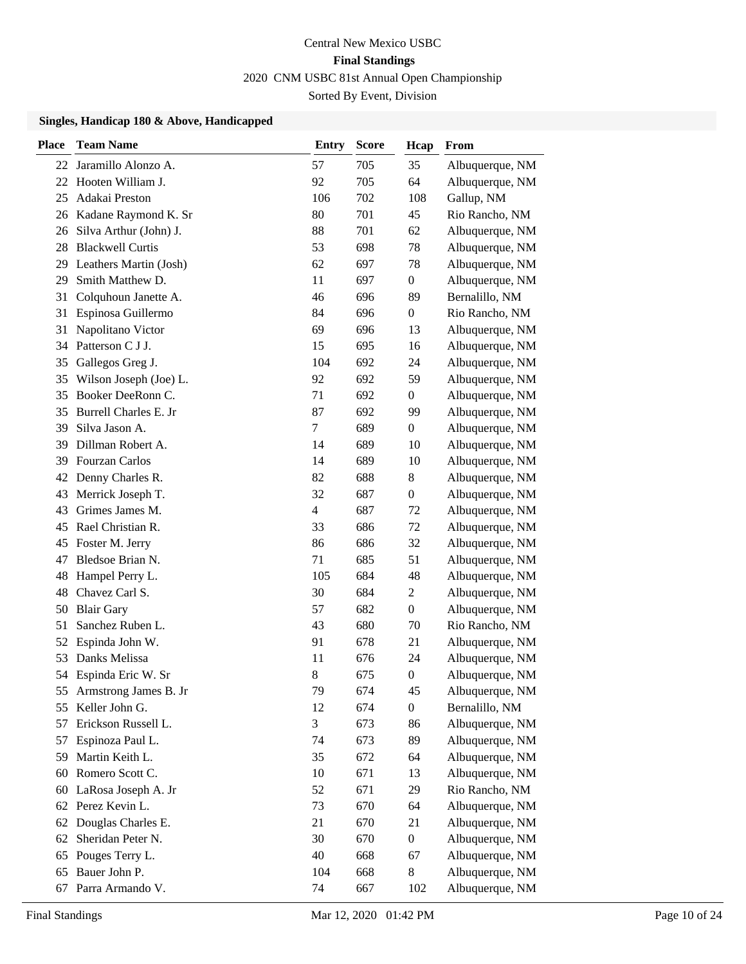| <b>Place</b> | <b>Team Name</b>             | <b>Entry</b>   | <b>Score</b> | Hcap             | From            |
|--------------|------------------------------|----------------|--------------|------------------|-----------------|
| 22           | Jaramillo Alonzo A.          | 57             | 705          | 35               | Albuquerque, NM |
| 22           | Hooten William J.            | 92             | 705          | 64               | Albuquerque, NM |
| 25           | Adakai Preston               | 106            | 702          | 108              | Gallup, NM      |
| 26           | Kadane Raymond K. Sr         | 80             | 701          | 45               | Rio Rancho, NM  |
| 26           | Silva Arthur (John) J.       | 88             | 701          | 62               | Albuquerque, NM |
| 28           | <b>Blackwell Curtis</b>      | 53             | 698          | 78               | Albuquerque, NM |
|              | 29 Leathers Martin (Josh)    | 62             | 697          | 78               | Albuquerque, NM |
| 29           | Smith Matthew D.             | 11             | 697          | $\boldsymbol{0}$ | Albuquerque, NM |
| 31           | Colquhoun Janette A.         | 46             | 696          | 89               | Bernalillo, NM  |
| 31           | Espinosa Guillermo           | 84             | 696          | $\boldsymbol{0}$ | Rio Rancho, NM  |
| 31           | Napolitano Victor            | 69             | 696          | 13               | Albuquerque, NM |
| 34           | Patterson C J J.             | 15             | 695          | 16               | Albuquerque, NM |
| 35           | Gallegos Greg J.             | 104            | 692          | 24               | Albuquerque, NM |
| 35           | Wilson Joseph (Joe) L.       | 92             | 692          | 59               | Albuquerque, NM |
| 35           | Booker DeeRonn C.            | 71             | 692          | $\boldsymbol{0}$ | Albuquerque, NM |
| 35           | <b>Burrell Charles E. Jr</b> | 87             | 692          | 99               | Albuquerque, NM |
| 39           | Silva Jason A.               | $\tau$         | 689          | $\boldsymbol{0}$ | Albuquerque, NM |
| 39           | Dillman Robert A.            | 14             | 689          | 10               | Albuquerque, NM |
| 39           | Fourzan Carlos               | 14             | 689          | 10               | Albuquerque, NM |
| 42           | Denny Charles R.             | 82             | 688          | 8                | Albuquerque, NM |
| 43           | Merrick Joseph T.            | 32             | 687          | $\boldsymbol{0}$ | Albuquerque, NM |
| 43           | Grimes James M.              | $\overline{4}$ | 687          | 72               | Albuquerque, NM |
| 45           | Rael Christian R.            | 33             | 686          | 72               | Albuquerque, NM |
| 45           | Foster M. Jerry              | 86             | 686          | 32               | Albuquerque, NM |
| 47           | Bledsoe Brian N.             | 71             | 685          | 51               | Albuquerque, NM |
| 48           | Hampel Perry L.              | 105            | 684          | 48               | Albuquerque, NM |
| 48           | Chavez Carl S.               | 30             | 684          | $\mathfrak{2}$   | Albuquerque, NM |
| 50           | <b>Blair Gary</b>            | 57             | 682          | $\boldsymbol{0}$ | Albuquerque, NM |
| 51           | Sanchez Ruben L.             | 43             | 680          | 70               | Rio Rancho, NM  |
| 52           | Espinda John W.              | 91             | 678          | 21               | Albuquerque, NM |
| 53           | Danks Melissa                | 11             | 676          | 24               | Albuquerque, NM |
|              | 54 Espinda Eric W. Sr        | 8              | 675          | $\boldsymbol{0}$ | Albuquerque, NM |
| 55           | Armstrong James B. Jr        | 79             | 674          | 45               | Albuquerque, NM |
| 55           | Keller John G.               | 12             | 674          | $\boldsymbol{0}$ | Bernalillo, NM  |
| 57           | Erickson Russell L.          | 3              | 673          | 86               | Albuquerque, NM |
| 57           | Espinoza Paul L.             | 74             | 673          | 89               | Albuquerque, NM |
| 59           | Martin Keith L.              | 35             | 672          | 64               | Albuquerque, NM |
| 60           | Romero Scott C.              | 10             | 671          | 13               | Albuquerque, NM |
| 60           | LaRosa Joseph A. Jr          | 52             | 671          | 29               | Rio Rancho, NM  |
| 62           | Perez Kevin L.               | 73             | 670          | 64               | Albuquerque, NM |
| 62           | Douglas Charles E.           | 21             | 670          | 21               | Albuquerque, NM |
| 62           | Sheridan Peter N.            | 30             | 670          | $\boldsymbol{0}$ | Albuquerque, NM |
| 65           | Pouges Terry L.              | 40             | 668          | 67               | Albuquerque, NM |
| 65           | Bauer John P.                | 104            | 668          | 8                | Albuquerque, NM |
| 67           | Parra Armando V.             | 74             | 667          | 102              | Albuquerque, NM |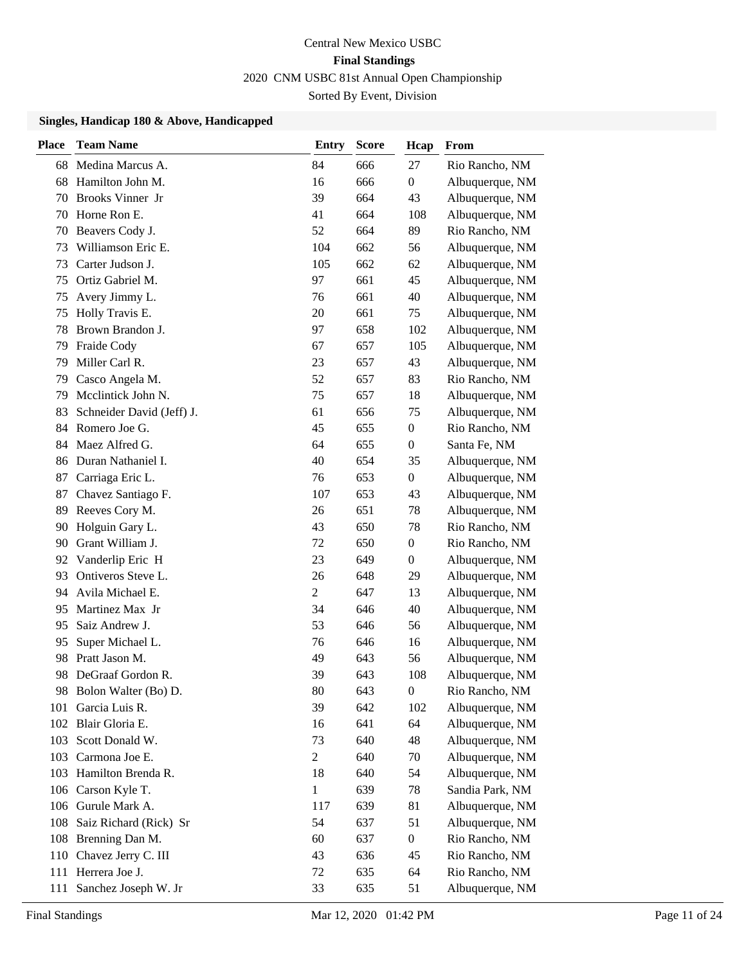| <b>Place</b> | <b>Team Name</b>          | <b>Entry</b>   | <b>Score</b> | Hcap             | From            |
|--------------|---------------------------|----------------|--------------|------------------|-----------------|
| 68           | Medina Marcus A.          | 84             | 666          | 27               | Rio Rancho, NM  |
| 68           | Hamilton John M.          | 16             | 666          | $\boldsymbol{0}$ | Albuquerque, NM |
| 70           | Brooks Vinner Jr          | 39             | 664          | 43               | Albuquerque, NM |
| 70           | Horne Ron E.              | 41             | 664          | 108              | Albuquerque, NM |
| 70           | Beavers Cody J.           | 52             | 664          | 89               | Rio Rancho, NM  |
| 73           | Williamson Eric E.        | 104            | 662          | 56               | Albuquerque, NM |
| 73           | Carter Judson J.          | 105            | 662          | 62               | Albuquerque, NM |
| 75           | Ortiz Gabriel M.          | 97             | 661          | 45               | Albuquerque, NM |
| 75           | Avery Jimmy L.            | 76             | 661          | 40               | Albuquerque, NM |
| 75           | Holly Travis E.           | 20             | 661          | 75               | Albuquerque, NM |
| 78           | Brown Brandon J.          | 97             | 658          | 102              | Albuquerque, NM |
| 79           | Fraide Cody               | 67             | 657          | 105              | Albuquerque, NM |
| 79           | Miller Carl R.            | 23             | 657          | 43               | Albuquerque, NM |
| 79           | Casco Angela M.           | 52             | 657          | 83               | Rio Rancho, NM  |
| 79           | Mcclintick John N.        | 75             | 657          | 18               | Albuquerque, NM |
| 83           | Schneider David (Jeff) J. | 61             | 656          | 75               | Albuquerque, NM |
| 84           | Romero Joe G.             | 45             | 655          | $\boldsymbol{0}$ | Rio Rancho, NM  |
| 84           | Maez Alfred G.            | 64             | 655          | $\boldsymbol{0}$ | Santa Fe, NM    |
| 86           | Duran Nathaniel I.        | 40             | 654          | 35               | Albuquerque, NM |
| 87           | Carriaga Eric L.          | 76             | 653          | $\boldsymbol{0}$ | Albuquerque, NM |
| 87           | Chavez Santiago F.        | 107            | 653          | 43               | Albuquerque, NM |
| 89           | Reeves Cory M.            | 26             | 651          | 78               | Albuquerque, NM |
| 90           | Holguin Gary L.           | 43             | 650          | 78               | Rio Rancho, NM  |
| 90           | Grant William J.          | 72             | 650          | $\boldsymbol{0}$ | Rio Rancho, NM  |
| 92           | Vanderlip Eric H          | 23             | 649          | $\boldsymbol{0}$ | Albuquerque, NM |
| 93           | Ontiveros Steve L.        | 26             | 648          | 29               | Albuquerque, NM |
| 94           | Avila Michael E.          | $\overline{2}$ | 647          | 13               | Albuquerque, NM |
| 95           | Martinez Max Jr           | 34             | 646          | 40               | Albuquerque, NM |
| 95           | Saiz Andrew J.            | 53             | 646          | 56               | Albuquerque, NM |
| 95           | Super Michael L.          | 76             | 646          | 16               | Albuquerque, NM |
| 98           | Pratt Jason M.            | 49             | 643          | 56               | Albuquerque, NM |
| 98           | DeGraaf Gordon R.         | 39             | 643          | 108              | Albuquerque, NM |
|              | 98 Bolon Walter (Bo) D.   | 80             | 643          | $\boldsymbol{0}$ | Rio Rancho, NM  |
| 101          | Garcia Luis R.            | 39             | 642          | 102              | Albuquerque, NM |
| 102          | Blair Gloria E.           | 16             | 641          | 64               | Albuquerque, NM |
| 103          | Scott Donald W.           | 73             | 640          | 48               | Albuquerque, NM |
| 103          | Carmona Joe E.            | $\overline{2}$ | 640          | 70               | Albuquerque, NM |
| 103          | Hamilton Brenda R.        | 18             | 640          | 54               | Albuquerque, NM |
|              | 106 Carson Kyle T.        | 1              | 639          | 78               | Sandia Park, NM |
| 106          | Gurule Mark A.            | 117            | 639          | 81               | Albuquerque, NM |
| 108          | Saiz Richard (Rick) Sr    | 54             | 637          | 51               | Albuquerque, NM |
| 108          | Brenning Dan M.           | 60             | 637          | $\boldsymbol{0}$ | Rio Rancho, NM  |
|              | 110 Chavez Jerry C. III   | 43             | 636          | 45               | Rio Rancho, NM  |
| 111          | Herrera Joe J.            | 72             | 635          | 64               | Rio Rancho, NM  |
| 111          | Sanchez Joseph W. Jr      | 33             | 635          | 51               | Albuquerque, NM |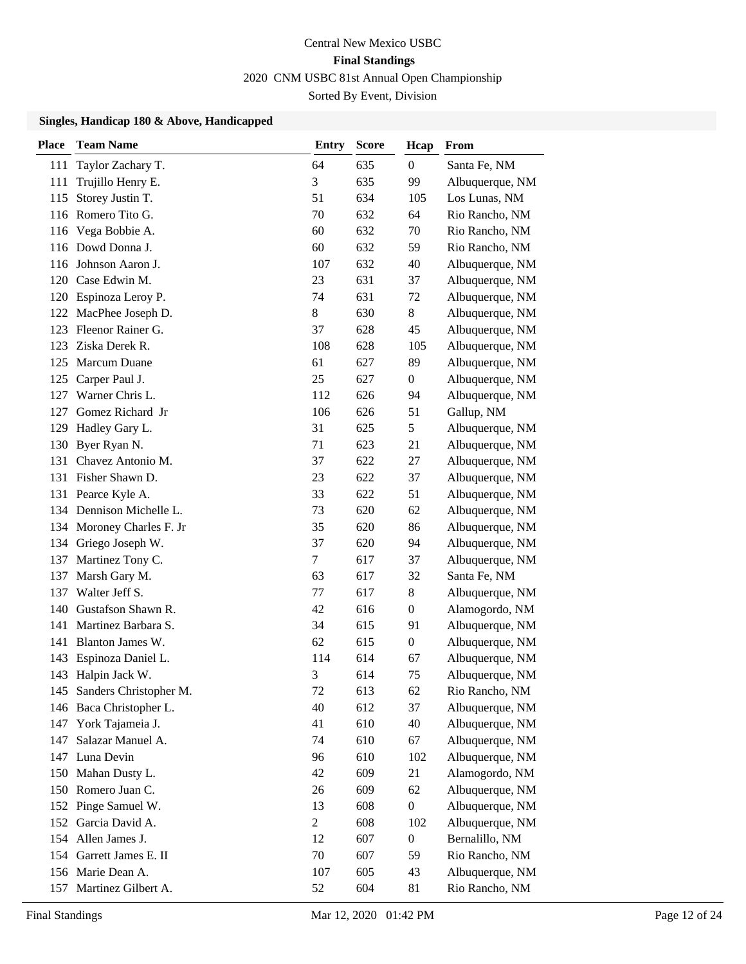| <b>Place</b> | <b>Team Name</b>           | <b>Entry</b>   | <b>Score</b> | Hcap             | From            |
|--------------|----------------------------|----------------|--------------|------------------|-----------------|
| 111          | Taylor Zachary T.          | 64             | 635          | 0                | Santa Fe, NM    |
| 111          | Trujillo Henry E.          | 3              | 635          | 99               | Albuquerque, NM |
| 115          | Storey Justin T.           | 51             | 634          | 105              | Los Lunas, NM   |
|              | 116 Romero Tito G.         | 70             | 632          | 64               | Rio Rancho, NM  |
|              | 116 Vega Bobbie A.         | 60             | 632          | 70               | Rio Rancho, NM  |
|              | 116 Dowd Donna J.          | 60             | 632          | 59               | Rio Rancho, NM  |
| 116          | Johnson Aaron J.           | 107            | 632          | 40               | Albuquerque, NM |
|              | 120 Case Edwin M.          | 23             | 631          | 37               | Albuquerque, NM |
|              | 120 Espinoza Leroy P.      | 74             | 631          | 72               | Albuquerque, NM |
|              | 122 MacPhee Joseph D.      | $8\,$          | 630          | 8                | Albuquerque, NM |
| 123          | Fleenor Rainer G.          | 37             | 628          | 45               | Albuquerque, NM |
| 123          | Ziska Derek R.             | 108            | 628          | 105              | Albuquerque, NM |
| 125          | Marcum Duane               | 61             | 627          | 89               | Albuquerque, NM |
| 125          | Carper Paul J.             | 25             | 627          | 0                | Albuquerque, NM |
| 127          | Warner Chris L.            | 112            | 626          | 94               | Albuquerque, NM |
| 127          | Gomez Richard Jr           | 106            | 626          | 51               | Gallup, NM      |
| 129          | Hadley Gary L.             | 31             | 625          | 5                | Albuquerque, NM |
| 130          | Byer Ryan N.               | 71             | 623          | 21               | Albuquerque, NM |
| 131          | Chavez Antonio M.          | 37             | 622          | 27               | Albuquerque, NM |
| 131          | Fisher Shawn D.            | 23             | 622          | 37               | Albuquerque, NM |
| 131          | Pearce Kyle A.             | 33             | 622          | 51               | Albuquerque, NM |
|              | 134 Dennison Michelle L.   | 73             | 620          | 62               | Albuquerque, NM |
|              | 134 Moroney Charles F. Jr  | 35             | 620          | 86               | Albuquerque, NM |
|              | 134 Griego Joseph W.       | 37             | 620          | 94               | Albuquerque, NM |
| 137          | Martinez Tony C.           | $\tau$         | 617          | 37               | Albuquerque, NM |
| 137          | Marsh Gary M.              | 63             | 617          | 32               | Santa Fe, NM    |
| 137          | Walter Jeff S.             | 77             | 617          | 8                | Albuquerque, NM |
| 140          | Gustafson Shawn R.         | 42             | 616          | $\boldsymbol{0}$ | Alamogordo, NM  |
| 141          | Martinez Barbara S.        | 34             | 615          | 91               | Albuquerque, NM |
| 141          | Blanton James W.           | 62             | 615          | 0                | Albuquerque, NM |
| 143          | Espinoza Daniel L.         | 114            | 614          | 67               | Albuquerque, NM |
|              | 143 Halpin Jack W.         | 3              | 614          | 75               | Albuquerque, NM |
|              | 145 Sanders Christopher M. | 72             | 613          | 62               | Rio Rancho, NM  |
| 146          | Baca Christopher L.        | 40             | 612          | 37               | Albuquerque, NM |
| 147          | York Tajameia J.           | 41             | 610          | 40               | Albuquerque, NM |
| 147          | Salazar Manuel A.          | 74             | 610          | 67               | Albuquerque, NM |
| 147          | Luna Devin                 | 96             | 610          | 102              | Albuquerque, NM |
| 150          | Mahan Dusty L.             | 42             | 609          | 21               | Alamogordo, NM  |
| 150          | Romero Juan C.             | 26             | 609          | 62               | Albuquerque, NM |
|              | 152 Pinge Samuel W.        | 13             | 608          | $\boldsymbol{0}$ | Albuquerque, NM |
| 152          | Garcia David A.            | $\overline{2}$ | 608          | 102              | Albuquerque, NM |
|              | 154 Allen James J.         | 12             | 607          | $\boldsymbol{0}$ | Bernalillo, NM  |
|              | 154 Garrett James E. II    | 70             | 607          | 59               | Rio Rancho, NM  |
|              | 156 Marie Dean A.          | 107            | 605          | 43               | Albuquerque, NM |
| 157          | Martinez Gilbert A.        | 52             | 604          | 81               | Rio Rancho, NM  |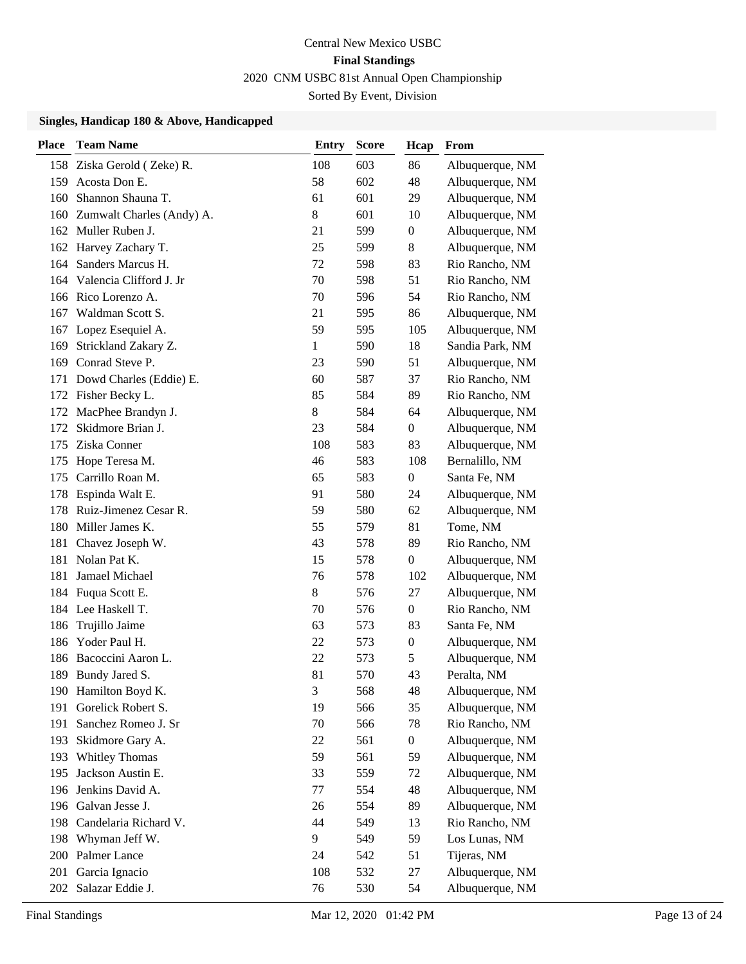| <b>Place</b> | <b>Team Name</b>            | Entry        | <b>Score</b> | Hcap             | From            |
|--------------|-----------------------------|--------------|--------------|------------------|-----------------|
|              | 158 Ziska Gerold (Zeke) R.  | 108          | 603          | 86               | Albuquerque, NM |
| 159          | Acosta Don E.               | 58           | 602          | 48               | Albuquerque, NM |
| 160          | Shannon Shauna T.           | 61           | 601          | 29               | Albuquerque, NM |
| 160          | Zumwalt Charles (Andy) A.   | 8            | 601          | 10               | Albuquerque, NM |
| 162          | Muller Ruben J.             | 21           | 599          | 0                | Albuquerque, NM |
|              | 162 Harvey Zachary T.       | 25           | 599          | 8                | Albuquerque, NM |
| 164          | Sanders Marcus H.           | 72           | 598          | 83               | Rio Rancho, NM  |
|              | 164 Valencia Clifford J. Jr | 70           | 598          | 51               | Rio Rancho, NM  |
|              | 166 Rico Lorenzo A.         | 70           | 596          | 54               | Rio Rancho, NM  |
| 167          | Waldman Scott S.            | 21           | 595          | 86               | Albuquerque, NM |
|              | 167 Lopez Esequiel A.       | 59           | 595          | 105              | Albuquerque, NM |
| 169          | Strickland Zakary Z.        | $\mathbf{1}$ | 590          | 18               | Sandia Park, NM |
| 169          | Conrad Steve P.             | 23           | 590          | 51               | Albuquerque, NM |
| 171          | Dowd Charles (Eddie) E.     | 60           | 587          | 37               | Rio Rancho, NM  |
| 172          | Fisher Becky L.             | 85           | 584          | 89               | Rio Rancho, NM  |
|              | 172 MacPhee Brandyn J.      | $8\,$        | 584          | 64               | Albuquerque, NM |
| 172          | Skidmore Brian J.           | 23           | 584          | $\boldsymbol{0}$ | Albuquerque, NM |
| 175          | Ziska Conner                | 108          | 583          | 83               | Albuquerque, NM |
| 175          | Hope Teresa M.              | 46           | 583          | 108              | Bernalillo, NM  |
| 175          | Carrillo Roan M.            | 65           | 583          | $\boldsymbol{0}$ | Santa Fe, NM    |
| 178          | Espinda Walt E.             | 91           | 580          | 24               | Albuquerque, NM |
| 178          | Ruiz-Jimenez Cesar R.       | 59           | 580          | 62               | Albuquerque, NM |
|              | 180 Miller James K.         | 55           | 579          | 81               | Tome, NM        |
| 181          | Chavez Joseph W.            | 43           | 578          | 89               | Rio Rancho, NM  |
| 181          | Nolan Pat K.                | 15           | 578          | $\boldsymbol{0}$ | Albuquerque, NM |
| 181          | Jamael Michael              | 76           | 578          | 102              | Albuquerque, NM |
|              | 184 Fuqua Scott E.          | 8            | 576          | 27               | Albuquerque, NM |
|              | 184 Lee Haskell T.          | 70           | 576          | $\overline{0}$   | Rio Rancho, NM  |
| 186          | Trujillo Jaime              | 63           | 573          | 83               | Santa Fe, NM    |
| 186          | Yoder Paul H.               | 22           | 573          | $\boldsymbol{0}$ | Albuquerque, NM |
| 186          | Bacoccini Aaron L.          | 22           | 573          | 5                | Albuquerque, NM |
|              | 189 Bundy Jared S.          | 81           | 570          | 43               | Peralta, NM     |
|              | 190 Hamilton Boyd K.        | 3            | 568          | 48               | Albuquerque, NM |
| 191          | Gorelick Robert S.          | 19           | 566          | 35               | Albuquerque, NM |
| 191          | Sanchez Romeo J. Sr         | 70           | 566          | 78               | Rio Rancho, NM  |
| 193          | Skidmore Gary A.            | 22           | 561          | $\boldsymbol{0}$ | Albuquerque, NM |
| 193          | Whitley Thomas              | 59           | 561          | 59               | Albuquerque, NM |
| 195          | Jackson Austin E.           | 33           | 559          | 72               | Albuquerque, NM |
| 196          | Jenkins David A.            | 77           | 554          | 48               | Albuquerque, NM |
| 196          | Galvan Jesse J.             | 26           | 554          | 89               | Albuquerque, NM |
| 198          | Candelaria Richard V.       | 44           | 549          | 13               | Rio Rancho, NM  |
| 198          | Whyman Jeff W.              | 9            | 549          | 59               | Los Lunas, NM   |
| 200          | Palmer Lance                | 24           | 542          | 51               | Tijeras, NM     |
| 201          | Garcia Ignacio              | 108          | 532          | 27               | Albuquerque, NM |
| 202          | Salazar Eddie J.            | 76           | 530          | 54               | Albuquerque, NM |
|              |                             |              |              |                  |                 |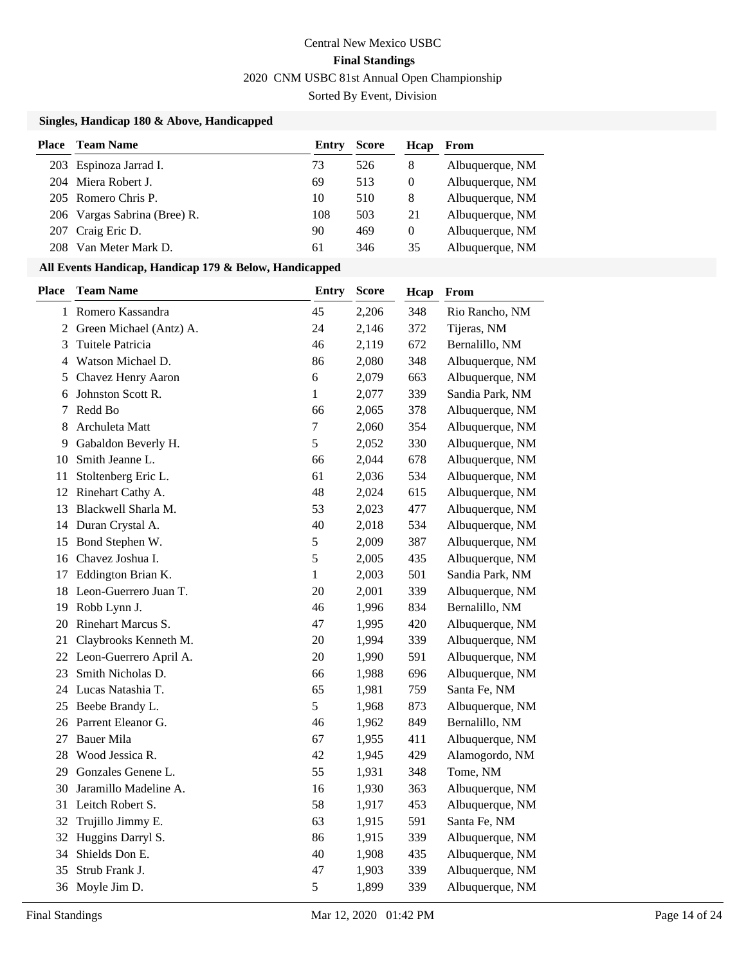### **Singles, Handicap 180 & Above, Handicapped**

| <b>Place</b> | <b>Team Name</b>             | Entry | <b>Score</b> | Hcap     | From            |
|--------------|------------------------------|-------|--------------|----------|-----------------|
|              | 203 Espinoza Jarrad I.       | 73    | 526          | 8        | Albuquerque, NM |
|              | 204 Miera Robert J.          | 69    | 513          | $\theta$ | Albuquerque, NM |
|              | 205 Romero Chris P.          | 10    | 510          | 8        | Albuquerque, NM |
|              | 206 Vargas Sabrina (Bree) R. | 108   | 503          | 21       | Albuquerque, NM |
|              | 207 Craig Eric D.            | 90    | 469          | $\Omega$ | Albuquerque, NM |
|              | Van Meter Mark D.            | 61    | 346          | 35       | Albuquerque, NM |

#### **All Events Handicap, Handicap 179 & Below, Handicapped**

| Place          | <b>Team Name</b>        | <b>Entry</b>     | Score | Hcap | From            |
|----------------|-------------------------|------------------|-------|------|-----------------|
| $\mathbf{1}$   | Romero Kassandra        | 45               | 2,206 | 348  | Rio Rancho, NM  |
| $\overline{2}$ | Green Michael (Antz) A. | 24               | 2,146 | 372  | Tijeras, NM     |
| 3              | Tuitele Patricia        | 46               | 2,119 | 672  | Bernalillo, NM  |
| 4              | Watson Michael D.       | 86               | 2,080 | 348  | Albuquerque, NM |
| 5              | Chavez Henry Aaron      | $\sqrt{6}$       | 2,079 | 663  | Albuquerque, NM |
| 6              | Johnston Scott R.       | 1                | 2,077 | 339  | Sandia Park, NM |
| 7              | Redd Bo                 | 66               | 2,065 | 378  | Albuquerque, NM |
| 8              | Archuleta Matt          | $\boldsymbol{7}$ | 2,060 | 354  | Albuquerque, NM |
| 9              | Gabaldon Beverly H.     | 5                | 2,052 | 330  | Albuquerque, NM |
| 10             | Smith Jeanne L.         | 66               | 2,044 | 678  | Albuquerque, NM |
| 11             | Stoltenberg Eric L.     | 61               | 2,036 | 534  | Albuquerque, NM |
| 12             | Rinehart Cathy A.       | 48               | 2,024 | 615  | Albuquerque, NM |
| 13             | Blackwell Sharla M.     | 53               | 2,023 | 477  | Albuquerque, NM |
| 14             | Duran Crystal A.        | 40               | 2,018 | 534  | Albuquerque, NM |
| 15             | Bond Stephen W.         | 5                | 2,009 | 387  | Albuquerque, NM |
| 16             | Chavez Joshua I.        | 5                | 2,005 | 435  | Albuquerque, NM |
| 17             | Eddington Brian K.      | $\mathbf{1}$     | 2,003 | 501  | Sandia Park, NM |
| 18             | Leon-Guerrero Juan T.   | 20               | 2,001 | 339  | Albuquerque, NM |
| 19             | Robb Lynn J.            | 46               | 1,996 | 834  | Bernalillo, NM  |
| 20             | Rinehart Marcus S.      | 47               | 1,995 | 420  | Albuquerque, NM |
| 21             | Claybrooks Kenneth M.   | 20               | 1,994 | 339  | Albuquerque, NM |
| 22             | Leon-Guerrero April A.  | 20               | 1,990 | 591  | Albuquerque, NM |
| 23             | Smith Nicholas D.       | 66               | 1,988 | 696  | Albuquerque, NM |
|                | 24 Lucas Natashia T.    | 65               | 1,981 | 759  | Santa Fe, NM    |
| 25             | Beebe Brandy L.         | 5                | 1,968 | 873  | Albuquerque, NM |
| 26             | Parrent Eleanor G.      | 46               | 1,962 | 849  | Bernalillo, NM  |
| 27             | <b>Bauer Mila</b>       | 67               | 1,955 | 411  | Albuquerque, NM |
| 28             | Wood Jessica R.         | 42               | 1,945 | 429  | Alamogordo, NM  |
| 29             | Gonzales Genene L.      | 55               | 1,931 | 348  | Tome, NM        |
| 30             | Jaramillo Madeline A.   | 16               | 1,930 | 363  | Albuquerque, NM |
| 31             | Leitch Robert S.        | 58               | 1,917 | 453  | Albuquerque, NM |
| 32             | Trujillo Jimmy E.       | 63               | 1,915 | 591  | Santa Fe, NM    |
|                | 32 Huggins Darryl S.    | 86               | 1,915 | 339  | Albuquerque, NM |
| 34             | Shields Don E.          | 40               | 1,908 | 435  | Albuquerque, NM |
| 35             | Strub Frank J.          | 47               | 1,903 | 339  | Albuquerque, NM |
| 36             | Moyle Jim D.            | 5                | 1,899 | 339  | Albuquerque, NM |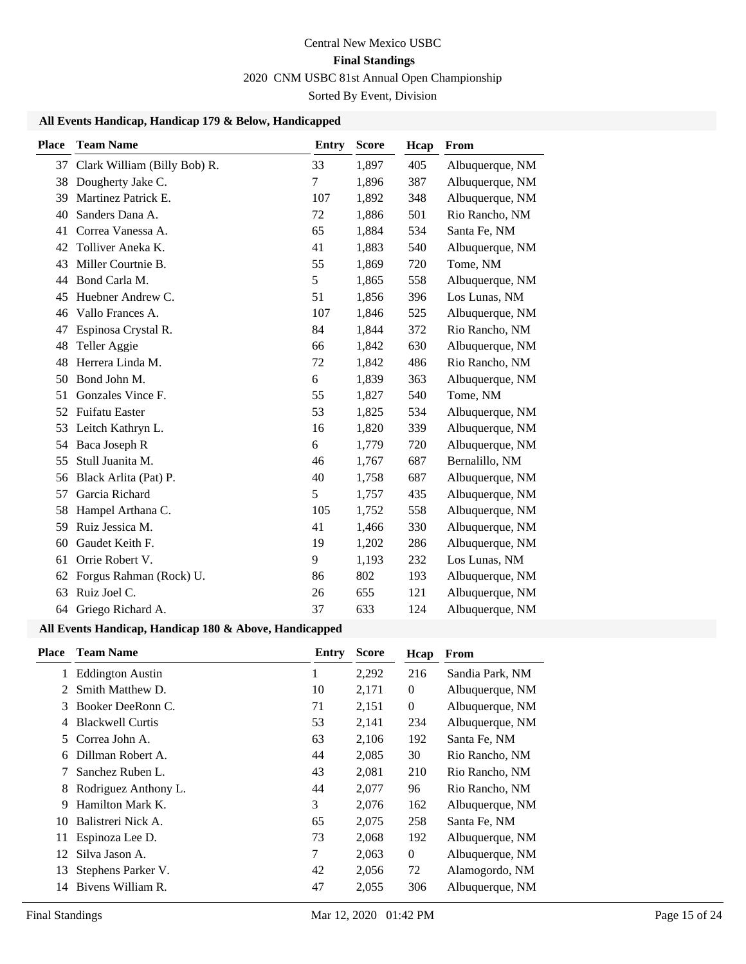### **All Events Handicap, Handicap 179 & Below, Handicapped**

| Place | <b>Team Name</b>                | Entry | <b>Score</b> | Hcap | From            |
|-------|---------------------------------|-------|--------------|------|-----------------|
|       | 37 Clark William (Billy Bob) R. | 33    | 1,897        | 405  | Albuquerque, NM |
| 38    | Dougherty Jake C.               | 7     | 1,896        | 387  | Albuquerque, NM |
| 39    | Martinez Patrick E.             | 107   | 1,892        | 348  | Albuquerque, NM |
| 40    | Sanders Dana A.                 | 72    | 1,886        | 501  | Rio Rancho, NM  |
| 41    | Correa Vanessa A.               | 65    | 1,884        | 534  | Santa Fe, NM    |
| 42    | Tolliver Aneka K.               | 41    | 1,883        | 540  | Albuquerque, NM |
| 43    | Miller Courtnie B.              | 55    | 1,869        | 720  | Tome, NM        |
| 44    | Bond Carla M.                   | 5     | 1,865        | 558  | Albuquerque, NM |
| 45    | Huebner Andrew C.               | 51    | 1,856        | 396  | Los Lunas, NM   |
| 46    | Vallo Frances A.                | 107   | 1,846        | 525  | Albuquerque, NM |
| 47    | Espinosa Crystal R.             | 84    | 1,844        | 372  | Rio Rancho, NM  |
| 48    | Teller Aggie                    | 66    | 1,842        | 630  | Albuquerque, NM |
| 48    | Herrera Linda M.                | 72    | 1,842        | 486  | Rio Rancho, NM  |
| 50    | Bond John M.                    | 6     | 1,839        | 363  | Albuquerque, NM |
| 51    | Gonzales Vince F.               | 55    | 1,827        | 540  | Tome, NM        |
| 52    | Fuifatu Easter                  | 53    | 1,825        | 534  | Albuquerque, NM |
| 53    | Leitch Kathryn L.               | 16    | 1,820        | 339  | Albuquerque, NM |
| 54    | Baca Joseph R                   | 6     | 1,779        | 720  | Albuquerque, NM |
| 55    | Stull Juanita M.                | 46    | 1,767        | 687  | Bernalillo, NM  |
| 56    | Black Arlita (Pat) P.           | 40    | 1,758        | 687  | Albuquerque, NM |
| 57    | Garcia Richard                  | 5     | 1,757        | 435  | Albuquerque, NM |
| 58    | Hampel Arthana C.               | 105   | 1,752        | 558  | Albuquerque, NM |
| 59    | Ruiz Jessica M.                 | 41    | 1,466        | 330  | Albuquerque, NM |
| 60    | Gaudet Keith F.                 | 19    | 1,202        | 286  | Albuquerque, NM |
| 61    | Orrie Robert V.                 | 9     | 1,193        | 232  | Los Lunas, NM   |
| 62    | Forgus Rahman (Rock) U.         | 86    | 802          | 193  | Albuquerque, NM |
| 63    | Ruiz Joel C.                    | 26    | 655          | 121  | Albuquerque, NM |
| 64    | Griego Richard A.               | 37    | 633          | 124  | Albuquerque, NM |

### **All Events Handicap, Handicap 180 & Above, Handicapped**

| <b>Place</b> | <b>Team Name</b>        | Entry | <b>Score</b> | Hcap             | From            |
|--------------|-------------------------|-------|--------------|------------------|-----------------|
|              | <b>Eddington Austin</b> | 1     | 2,292        | 216              | Sandia Park, NM |
| 2            | Smith Matthew D.        | 10    | 2,171        | $\overline{0}$   | Albuquerque, NM |
| 3            | Booker DeeRonn C.       | 71    | 2,151        | $\boldsymbol{0}$ | Albuquerque, NM |
| 4            | <b>Blackwell Curtis</b> | 53    | 2,141        | 234              | Albuquerque, NM |
| 5.           | Correa John A.          | 63    | 2,106        | 192              | Santa Fe, NM    |
| 6            | Dillman Robert A.       | 44    | 2,085        | 30               | Rio Rancho, NM  |
|              | Sanchez Ruben L.        | 43    | 2,081        | 210              | Rio Rancho, NM  |
| 8            | Rodriguez Anthony L.    | 44    | 2,077        | 96               | Rio Rancho, NM  |
| 9            | Hamilton Mark K.        | 3     | 2,076        | 162              | Albuquerque, NM |
| 10           | Balistreri Nick A.      | 65    | 2,075        | 258              | Santa Fe, NM    |
| 11           | Espinoza Lee D.         | 73    | 2,068        | 192              | Albuquerque, NM |
| 12           | Silva Jason A.          | 7     | 2,063        | $\overline{0}$   | Albuquerque, NM |
| 13           | Stephens Parker V.      | 42    | 2,056        | 72               | Alamogordo, NM  |
| 14           | Bivens William R.       | 47    | 2,055        | 306              | Albuquerque, NM |
|              |                         |       |              |                  |                 |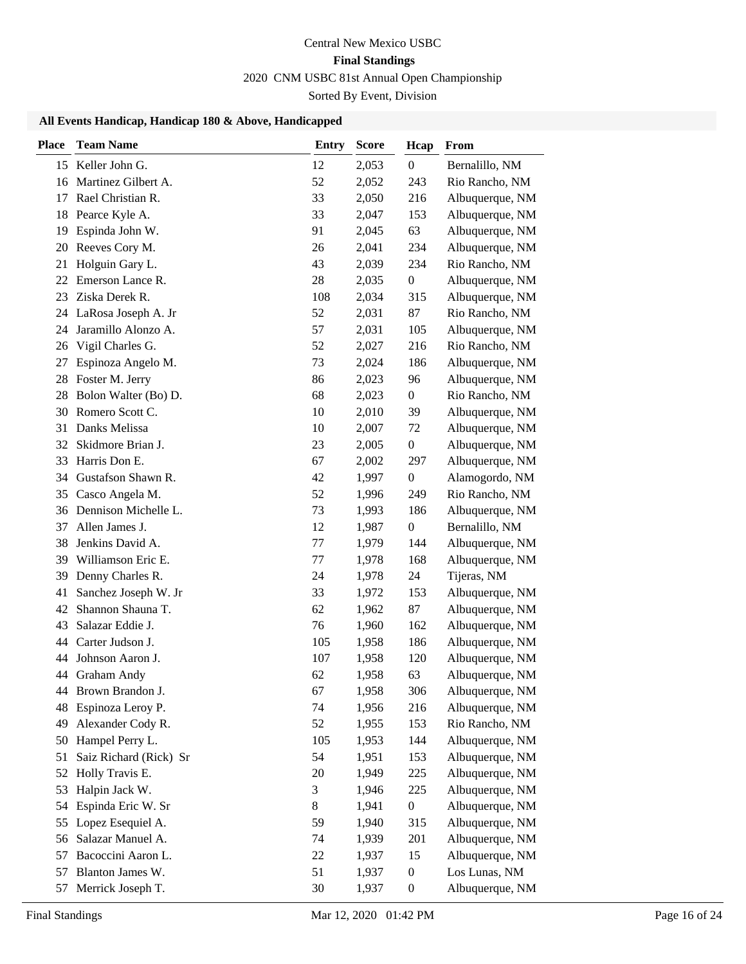## **All Events Handicap, Handicap 180 & Above, Handicapped**

| Place | <b>Team Name</b>       | <b>Entry</b> | <b>Score</b> | Hcap             | From            |
|-------|------------------------|--------------|--------------|------------------|-----------------|
|       | 15 Keller John G.      | 12           | 2,053        | $\boldsymbol{0}$ | Bernalillo, NM  |
| 16    | Martinez Gilbert A.    | 52           | 2,052        | 243              | Rio Rancho, NM  |
| 17    | Rael Christian R.      | 33           | 2,050        | 216              | Albuquerque, NM |
| 18    | Pearce Kyle A.         | 33           | 2,047        | 153              | Albuquerque, NM |
| 19    | Espinda John W.        | 91           | 2,045        | 63               | Albuquerque, NM |
| 20    | Reeves Cory M.         | 26           | 2,041        | 234              | Albuquerque, NM |
| 21    | Holguin Gary L.        | 43           | 2,039        | 234              | Rio Rancho, NM  |
| 22    | Emerson Lance R.       | 28           | 2,035        | $\boldsymbol{0}$ | Albuquerque, NM |
| 23    | Ziska Derek R.         | 108          | 2,034        | 315              | Albuquerque, NM |
| 24    | LaRosa Joseph A. Jr    | 52           | 2,031        | 87               | Rio Rancho, NM  |
| 24    | Jaramillo Alonzo A.    | 57           | 2,031        | 105              | Albuquerque, NM |
| 26    | Vigil Charles G.       | 52           | 2,027        | 216              | Rio Rancho, NM  |
| 27    | Espinoza Angelo M.     | 73           | 2,024        | 186              | Albuquerque, NM |
| 28    | Foster M. Jerry        | 86           | 2,023        | 96               | Albuquerque, NM |
| 28    | Bolon Walter (Bo) D.   | 68           | 2,023        | $\boldsymbol{0}$ | Rio Rancho, NM  |
| 30    | Romero Scott C.        | 10           | 2,010        | 39               | Albuquerque, NM |
| 31    | Danks Melissa          | 10           | 2,007        | 72               | Albuquerque, NM |
| 32    | Skidmore Brian J.      | 23           | 2,005        | $\boldsymbol{0}$ | Albuquerque, NM |
| 33    | Harris Don E.          | 67           | 2,002        | 297              | Albuquerque, NM |
| 34    | Gustafson Shawn R.     | 42           | 1,997        | $\boldsymbol{0}$ | Alamogordo, NM  |
| 35    | Casco Angela M.        | 52           | 1,996        | 249              | Rio Rancho, NM  |
| 36    | Dennison Michelle L.   | 73           | 1,993        | 186              | Albuquerque, NM |
| 37    | Allen James J.         | 12           | 1,987        | $\boldsymbol{0}$ | Bernalillo, NM  |
| 38    | Jenkins David A.       | 77           | 1,979        | 144              | Albuquerque, NM |
| 39    | Williamson Eric E.     | 77           | 1,978        | 168              | Albuquerque, NM |
| 39    | Denny Charles R.       | 24           | 1,978        | 24               | Tijeras, NM     |
| 41    | Sanchez Joseph W. Jr   | 33           | 1,972        | 153              | Albuquerque, NM |
| 42    | Shannon Shauna T.      | 62           | 1,962        | 87               | Albuquerque, NM |
| 43    | Salazar Eddie J.       | 76           | 1,960        | 162              | Albuquerque, NM |
| 44    | Carter Judson J.       | 105          | 1,958        | 186              | Albuquerque, NM |
| 44    | Johnson Aaron J.       | 107          | 1,958        | 120              | Albuquerque, NM |
|       | 44 Graham Andy         | 62           | 1,958        | 63               | Albuquerque, NM |
| 44    | Brown Brandon J.       | 67           | 1,958        | 306              | Albuquerque, NM |
| 48    | Espinoza Leroy P.      | 74           | 1,956        | 216              | Albuquerque, NM |
| 49    | Alexander Cody R.      | 52           | 1,955        | 153              | Rio Rancho, NM  |
| 50    | Hampel Perry L.        | 105          | 1,953        | 144              | Albuquerque, NM |
| 51    | Saiz Richard (Rick) Sr | 54           | 1,951        | 153              | Albuquerque, NM |
| 52    | Holly Travis E.        | 20           | 1,949        | 225              | Albuquerque, NM |
| 53    | Halpin Jack W.         | 3            | 1,946        | 225              | Albuquerque, NM |
| 54    | Espinda Eric W. Sr     | 8            | 1,941        | $\boldsymbol{0}$ | Albuquerque, NM |
| 55    | Lopez Esequiel A.      | 59           | 1,940        | 315              | Albuquerque, NM |
| 56    | Salazar Manuel A.      | 74           | 1,939        | 201              | Albuquerque, NM |
| 57    | Bacoccini Aaron L.     | 22           | 1,937        | 15               | Albuquerque, NM |
| 57    | Blanton James W.       | 51           | 1,937        | $\boldsymbol{0}$ | Los Lunas, NM   |
| 57    | Merrick Joseph T.      | 30           | 1,937        | $\boldsymbol{0}$ | Albuquerque, NM |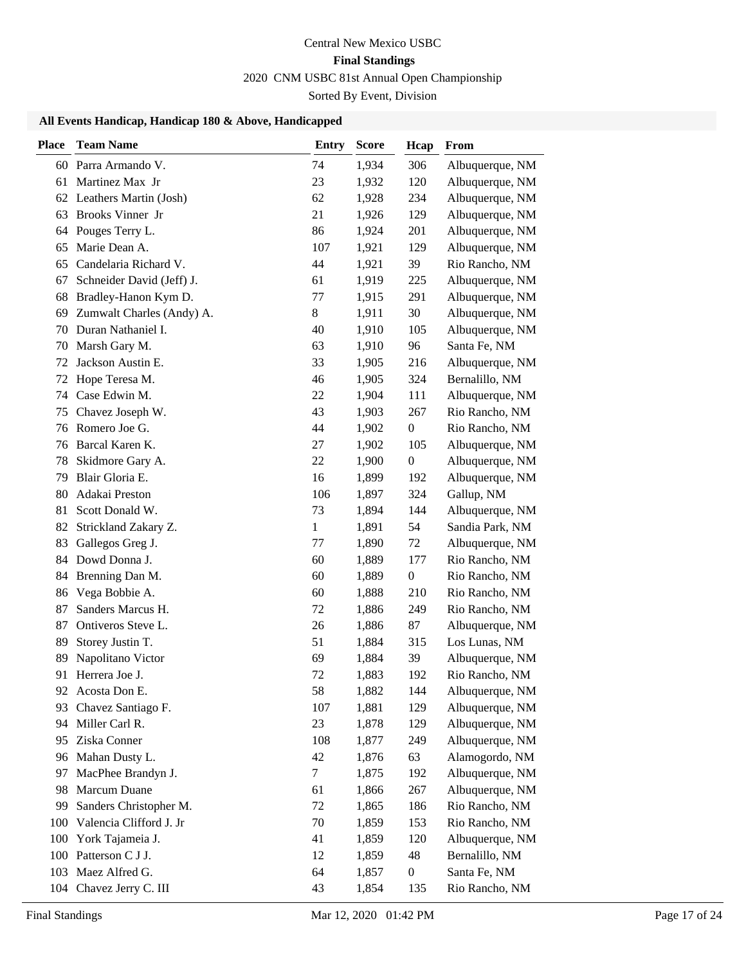## **All Events Handicap, Handicap 180 & Above, Handicapped**

| <b>Place</b> | <b>Team Name</b>          | Entry  | <b>Score</b> | Hcap             | From            |
|--------------|---------------------------|--------|--------------|------------------|-----------------|
|              | 60 Parra Armando V.       | 74     | 1,934        | 306              | Albuquerque, NM |
| 61           | Martinez Max Jr           | 23     | 1,932        | 120              | Albuquerque, NM |
| 62           | Leathers Martin (Josh)    | 62     | 1,928        | 234              | Albuquerque, NM |
| 63           | Brooks Vinner Jr          | 21     | 1,926        | 129              | Albuquerque, NM |
| 64           | Pouges Terry L.           | 86     | 1,924        | 201              | Albuquerque, NM |
| 65           | Marie Dean A.             | 107    | 1,921        | 129              | Albuquerque, NM |
| 65           | Candelaria Richard V.     | 44     | 1,921        | 39               | Rio Rancho, NM  |
| 67           | Schneider David (Jeff) J. | 61     | 1,919        | 225              | Albuquerque, NM |
| 68           | Bradley-Hanon Kym D.      | 77     | 1,915        | 291              | Albuquerque, NM |
| 69           | Zumwalt Charles (Andy) A. | 8      | 1,911        | 30               | Albuquerque, NM |
| 70           | Duran Nathaniel I.        | 40     | 1,910        | 105              | Albuquerque, NM |
| 70           | Marsh Gary M.             | 63     | 1,910        | 96               | Santa Fe, NM    |
| 72           | Jackson Austin E.         | 33     | 1,905        | 216              | Albuquerque, NM |
| 72           | Hope Teresa M.            | 46     | 1,905        | 324              | Bernalillo, NM  |
| 74           | Case Edwin M.             | 22     | 1,904        | 111              | Albuquerque, NM |
| 75           | Chavez Joseph W.          | 43     | 1,903        | 267              | Rio Rancho, NM  |
| 76           | Romero Joe G.             | 44     | 1,902        | $\boldsymbol{0}$ | Rio Rancho, NM  |
| 76           | Barcal Karen K.           | 27     | 1,902        | 105              | Albuquerque, NM |
| 78           | Skidmore Gary A.          | 22     | 1,900        | $\boldsymbol{0}$ | Albuquerque, NM |
| 79           | Blair Gloria E.           | 16     | 1,899        | 192              | Albuquerque, NM |
| 80           | Adakai Preston            | 106    | 1,897        | 324              | Gallup, NM      |
| 81           | Scott Donald W.           | 73     | 1,894        | 144              | Albuquerque, NM |
| 82           | Strickland Zakary Z.      | 1      | 1,891        | 54               | Sandia Park, NM |
| 83           | Gallegos Greg J.          | 77     | 1,890        | 72               | Albuquerque, NM |
| 84           | Dowd Donna J.             | 60     | 1,889        | 177              | Rio Rancho, NM  |
| 84           | Brenning Dan M.           | 60     | 1,889        | $\boldsymbol{0}$ | Rio Rancho, NM  |
| 86           | Vega Bobbie A.            | 60     | 1,888        | 210              | Rio Rancho, NM  |
| 87           | Sanders Marcus H.         | 72     | 1,886        | 249              | Rio Rancho, NM  |
| 87           | Ontiveros Steve L.        | 26     | 1,886        | 87               | Albuquerque, NM |
| 89           | Storey Justin T.          | 51     | 1,884        | 315              | Los Lunas, NM   |
| 89           | Napolitano Victor         | 69     | 1,884        | 39               | Albuquerque, NM |
| 91           | Herrera Joe J.            | 72     | 1,883        | 192              | Rio Rancho, NM  |
| 92           | Acosta Don E.             | 58     | 1,882        | 144              | Albuquerque, NM |
| 93           | Chavez Santiago F.        | 107    | 1,881        | 129              | Albuquerque, NM |
| 94           | Miller Carl R.            | 23     | 1,878        | 129              | Albuquerque, NM |
| 95           | Ziska Conner              | 108    | 1,877        | 249              | Albuquerque, NM |
| 96           | Mahan Dusty L.            | 42     | 1,876        | 63               | Alamogordo, NM  |
| 97           | MacPhee Brandyn J.        | $\tau$ | 1,875        | 192              | Albuquerque, NM |
| 98           | Marcum Duane              | 61     | 1,866        | 267              | Albuquerque, NM |
| 99           | Sanders Christopher M.    | 72     | 1,865        | 186              | Rio Rancho, NM  |
| 100          | Valencia Clifford J. Jr   | 70     | 1,859        | 153              | Rio Rancho, NM  |
| 100          | York Tajameia J.          | 41     | 1,859        | 120              | Albuquerque, NM |
| 100          | Patterson C J J.          | 12     | 1,859        | 48               | Bernalillo, NM  |
| 103          | Maez Alfred G.            | 64     | 1,857        | $\boldsymbol{0}$ | Santa Fe, NM    |
| 104          | Chavez Jerry C. III       | 43     | 1,854        | 135              | Rio Rancho, NM  |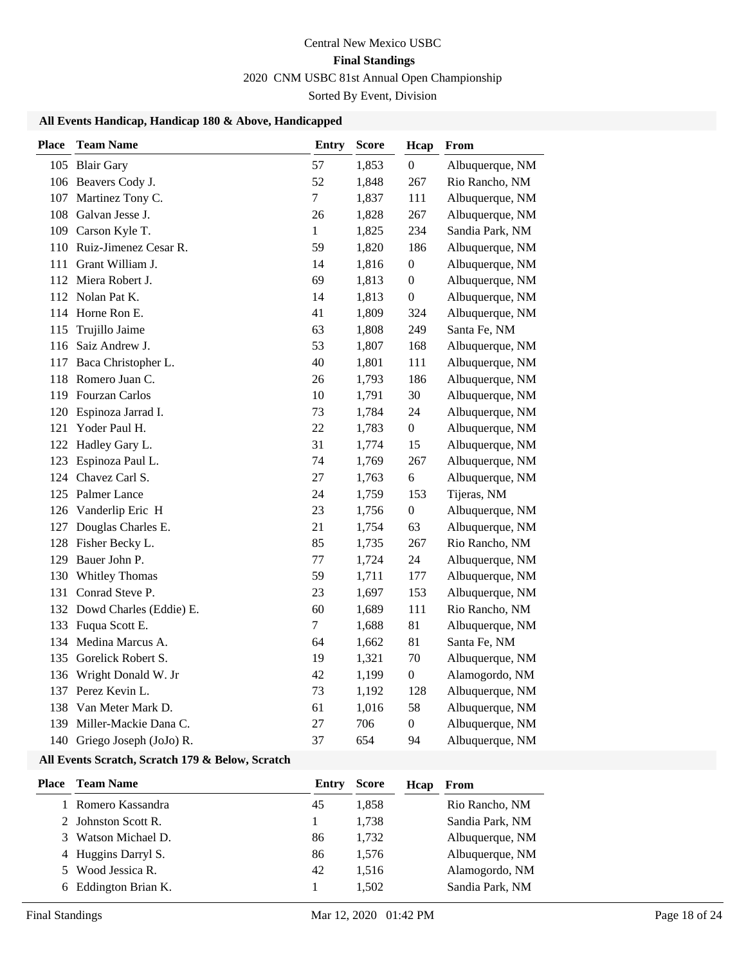### **All Events Handicap, Handicap 180 & Above, Handicapped**

| <b>Place</b> | <b>Team Name</b>            | <b>Entry</b>     | <b>Score</b> | Hcap             | From            |
|--------------|-----------------------------|------------------|--------------|------------------|-----------------|
|              | 105 Blair Gary              | 57               | 1,853        | $\boldsymbol{0}$ | Albuquerque, NM |
|              | 106 Beavers Cody J.         | 52               | 1,848        | 267              | Rio Rancho, NM  |
|              | 107 Martinez Tony C.        | $\boldsymbol{7}$ | 1,837        | 111              | Albuquerque, NM |
|              | 108 Galvan Jesse J.         | 26               | 1,828        | 267              | Albuquerque, NM |
|              | 109 Carson Kyle T.          | $\,1$            | 1,825        | 234              | Sandia Park, NM |
|              | 110 Ruiz-Jimenez Cesar R.   | 59               | 1,820        | 186              | Albuquerque, NM |
| 111          | Grant William J.            | 14               | 1,816        | $\boldsymbol{0}$ | Albuquerque, NM |
| 112          | Miera Robert J.             | 69               | 1,813        | $\boldsymbol{0}$ | Albuquerque, NM |
| 112          | Nolan Pat K.                | 14               | 1,813        | $\boldsymbol{0}$ | Albuquerque, NM |
| 114          | Horne Ron E.                | 41               | 1,809        | 324              | Albuquerque, NM |
| 115          | Trujillo Jaime              | 63               | 1,808        | 249              | Santa Fe, NM    |
| 116          | Saiz Andrew J.              | 53               | 1,807        | 168              | Albuquerque, NM |
| 117          | Baca Christopher L.         | 40               | 1,801        | 111              | Albuquerque, NM |
| 118          | Romero Juan C.              | 26               | 1,793        | 186              | Albuquerque, NM |
| 119          | <b>Fourzan Carlos</b>       | 10               | 1,791        | 30               | Albuquerque, NM |
| 120          | Espinoza Jarrad I.          | 73               | 1,784        | 24               | Albuquerque, NM |
| 121          | Yoder Paul H.               | 22               | 1,783        | $\boldsymbol{0}$ | Albuquerque, NM |
| 122          | Hadley Gary L.              | 31               | 1,774        | 15               | Albuquerque, NM |
| 123          | Espinoza Paul L.            | 74               | 1,769        | 267              | Albuquerque, NM |
|              | 124 Chavez Carl S.          | 27               | 1,763        | 6                | Albuquerque, NM |
| 125          | Palmer Lance                | 24               | 1,759        | 153              | Tijeras, NM     |
|              | 126 Vanderlip Eric H        | 23               | 1,756        | $\boldsymbol{0}$ | Albuquerque, NM |
| 127          | Douglas Charles E.          | 21               | 1,754        | 63               | Albuquerque, NM |
| 128          | Fisher Becky L.             | 85               | 1,735        | 267              | Rio Rancho, NM  |
| 129          | Bauer John P.               | $77 \,$          | 1,724        | 24               | Albuquerque, NM |
| 130          | Whitley Thomas              | 59               | 1,711        | 177              | Albuquerque, NM |
| 131          | Conrad Steve P.             | 23               | 1,697        | 153              | Albuquerque, NM |
|              | 132 Dowd Charles (Eddie) E. | 60               | 1,689        | 111              | Rio Rancho, NM  |
| 133          | Fuqua Scott E.              | $\tau$           | 1,688        | 81               | Albuquerque, NM |
| 134          | Medina Marcus A.            | 64               | 1,662        | 81               | Santa Fe, NM    |
| 135          | Gorelick Robert S.          | 19               | 1,321        | 70               | Albuquerque, NM |
| 136          | Wright Donald W. Jr         | 42               | 1,199        | $\boldsymbol{0}$ | Alamogordo, NM  |
| 137          | Perez Kevin L.              | 73               | 1,192        | 128              | Albuquerque, NM |
| 138          | Van Meter Mark D.           | 61               | 1,016        | 58               | Albuquerque, NM |
| 139          | Miller-Mackie Dana C.       | 27               | 706          | $\boldsymbol{0}$ | Albuquerque, NM |
|              | 140 Griego Joseph (JoJo) R. | 37               | 654          | 94               | Albuquerque, NM |

### **All Events Scratch, Scratch 179 & Below, Scratch**

| Place | <b>Team Name</b>     | Entry | <b>Score</b> | Hcap | From            |
|-------|----------------------|-------|--------------|------|-----------------|
|       | 1 Romero Kassandra   | 45    | 1.858        |      | Rio Rancho, NM  |
|       | 2 Johnston Scott R.  |       | 1.738        |      | Sandia Park, NM |
|       | 3 Watson Michael D.  | 86    | 1.732        |      | Albuquerque, NM |
|       | 4 Huggins Darryl S.  | 86    | 1.576        |      | Albuquerque, NM |
|       | 5 Wood Jessica R.    | 42    | 1.516        |      | Alamogordo, NM  |
|       | 6 Eddington Brian K. |       | 1.502        |      | Sandia Park, NM |
|       |                      |       |              |      |                 |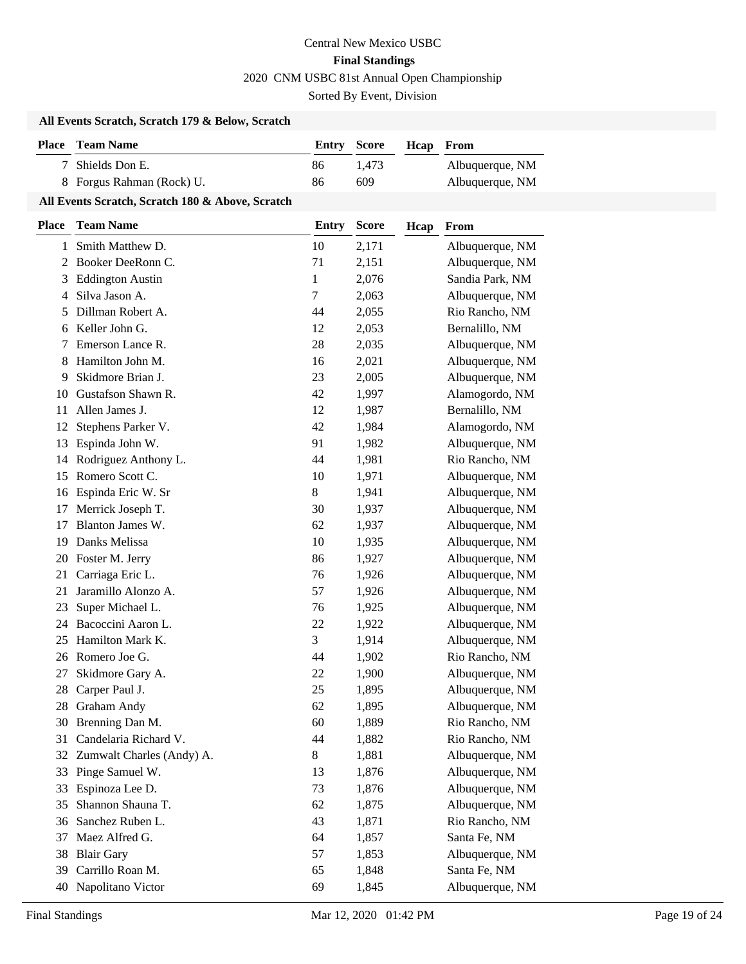## **All Events Scratch, Scratch 179 & Below, Scratch**

| <b>Place</b> Team Name    | <b>Entry Score</b> |       | <b>Heap</b> From |                 |
|---------------------------|--------------------|-------|------------------|-----------------|
| 7 Shields Don E.          | 86                 | 1.473 |                  | Albuquerque, NM |
| 8 Forgus Rahman (Rock) U. | 86                 | 609   |                  | Albuquerque, NM |

## **All Events Scratch, Scratch 180 & Above, Scratch**

| Place | <b>Team Name</b>          | <b>Entry</b> | <b>Score</b> | Hcap | From            |
|-------|---------------------------|--------------|--------------|------|-----------------|
| 1     | Smith Matthew D.          | 10           | 2,171        |      | Albuquerque, NM |
| 2     | Booker DeeRonn C.         | 71           | 2,151        |      | Albuquerque, NM |
| 3     | <b>Eddington Austin</b>   | 1            | 2,076        |      | Sandia Park, NM |
| 4     | Silva Jason A.            | 7            | 2,063        |      | Albuquerque, NM |
| 5     | Dillman Robert A.         | 44           | 2,055        |      | Rio Rancho, NM  |
| 6     | Keller John G.            | 12           | 2,053        |      | Bernalillo, NM  |
| 7     | Emerson Lance R.          | 28           | 2,035        |      | Albuquerque, NM |
| 8     | Hamilton John M.          | 16           | 2,021        |      | Albuquerque, NM |
| 9     | Skidmore Brian J.         | 23           | 2,005        |      | Albuquerque, NM |
| 10    | Gustafson Shawn R.        | 42           | 1,997        |      | Alamogordo, NM  |
| 11    | Allen James J.            | 12           | 1,987        |      | Bernalillo, NM  |
| 12    | Stephens Parker V.        | 42           | 1,984        |      | Alamogordo, NM  |
| 13    | Espinda John W.           | 91           | 1,982        |      | Albuquerque, NM |
| 14    | Rodriguez Anthony L.      | 44           | 1,981        |      | Rio Rancho, NM  |
| 15    | Romero Scott C.           | 10           | 1,971        |      | Albuquerque, NM |
| 16    | Espinda Eric W. Sr        | 8            | 1,941        |      | Albuquerque, NM |
| 17    | Merrick Joseph T.         | 30           | 1,937        |      | Albuquerque, NM |
| 17    | Blanton James W.          | 62           | 1,937        |      | Albuquerque, NM |
| 19    | Danks Melissa             | 10           | 1,935        |      | Albuquerque, NM |
| 20    | Foster M. Jerry           | 86           | 1,927        |      | Albuquerque, NM |
| 21    | Carriaga Eric L.          | 76           | 1,926        |      | Albuquerque, NM |
| 21    | Jaramillo Alonzo A.       | 57           | 1,926        |      | Albuquerque, NM |
| 23    | Super Michael L.          | 76           | 1,925        |      | Albuquerque, NM |
| 24    | Bacoccini Aaron L.        | 22           | 1,922        |      | Albuquerque, NM |
| 25    | Hamilton Mark K.          | 3            | 1,914        |      | Albuquerque, NM |
| 26    | Romero Joe G.             | 44           | 1,902        |      | Rio Rancho, NM  |
| 27    | Skidmore Gary A.          | 22           | 1,900        |      | Albuquerque, NM |
| 28    | Carper Paul J.            | 25           | 1,895        |      | Albuquerque, NM |
| 28    | <b>Graham Andy</b>        | 62           | 1,895        |      | Albuquerque, NM |
| 30    | Brenning Dan M.           | 60           | 1,889        |      | Rio Rancho, NM  |
| 31    | Candelaria Richard V.     | 44           | 1,882        |      | Rio Rancho, NM  |
| 32    | Zumwalt Charles (Andy) A. | 8            | 1,881        |      | Albuquerque, NM |
| 33    | Pinge Samuel W.           | 13           | 1,876        |      | Albuquerque, NM |
| 33    | Espinoza Lee D.           | 73           | 1,876        |      | Albuquerque, NM |
| 35    | Shannon Shauna T.         | 62           | 1,875        |      | Albuquerque, NM |
| 36    | Sanchez Ruben L.          | 43           | 1,871        |      | Rio Rancho, NM  |
| 37    | Maez Alfred G.            | 64           | 1,857        |      | Santa Fe, NM    |
| 38    | <b>Blair Gary</b>         | 57           | 1,853        |      | Albuquerque, NM |
| 39    | Carrillo Roan M.          | 65           | 1,848        |      | Santa Fe, NM    |
| 40    | Napolitano Victor         | 69           | 1,845        |      | Albuquerque, NM |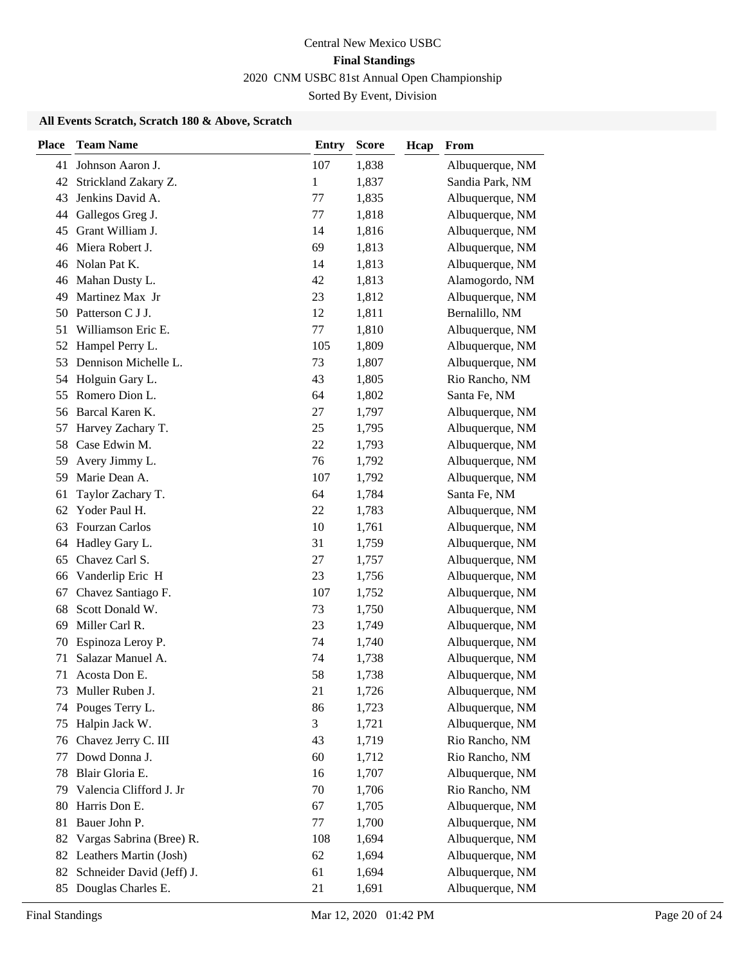### **All Events Scratch, Scratch 180 & Above, Scratch**

| Johnson Aaron J.<br>107<br>1,838<br>Albuquerque, NM<br>41<br>Strickland Zakary Z.<br>$\mathbf{1}$<br>1,837<br>Sandia Park, NM<br>42<br>Jenkins David A.<br>77<br>1,835<br>Albuquerque, NM<br>43<br>Gallegos Greg J.<br>1,818<br>Albuquerque, NM<br>77<br>44<br>Grant William J.<br>1,816<br>Albuquerque, NM<br>45<br>14<br>Miera Robert J.<br>69<br>1,813<br>Albuquerque, NM<br>46<br>Nolan Pat K.<br>Albuquerque, NM<br>14<br>1,813<br>46<br>Alamogordo, NM<br>Mahan Dusty L.<br>42<br>1,813<br>46<br>Martinez Max Jr<br>23<br>1,812<br>Albuquerque, NM<br>49<br>Patterson C J J.<br>12<br>Bernalillo, NM<br>1,811<br>50<br>Williamson Eric E.<br>77<br>1,810<br>Albuquerque, NM<br>51<br>Albuquerque, NM<br>Hampel Perry L.<br>105<br>1,809<br>52<br>Dennison Michelle L.<br>73<br>1,807<br>Albuquerque, NM<br>53<br>Holguin Gary L.<br>43<br>Rio Rancho, NM<br>1,805<br>54<br>Romero Dion L.<br>Santa Fe, NM<br>64<br>1,802<br>55<br>Barcal Karen K.<br>27<br>1,797<br>Albuquerque, NM<br>56<br>Harvey Zachary T.<br>25<br>1,795<br>Albuquerque, NM<br>57<br>Case Edwin M.<br>22<br>1,793<br>Albuquerque, NM<br>58<br>Albuquerque, NM<br>Avery Jimmy L.<br>76<br>1,792<br>59<br>Marie Dean A.<br>Albuquerque, NM<br>107<br>1,792<br>59<br>Taylor Zachary T.<br>64<br>1,784<br>Santa Fe, NM<br>61<br>Yoder Paul H.<br>22<br>1,783<br>Albuquerque, NM<br>62<br>Fourzan Carlos<br>Albuquerque, NM<br>10<br>1,761<br>63<br>Hadley Gary L.<br>Albuquerque, NM<br>31<br>1,759<br>64<br>Chavez Carl S.<br>27<br>1,757<br>Albuquerque, NM<br>65<br>Albuquerque, NM<br>Vanderlip Eric H<br>23<br>1,756<br>66<br>Chavez Santiago F.<br>Albuquerque, NM<br>107<br>1,752<br>67<br>Scott Donald W.<br>Albuquerque, NM<br>68<br>73<br>1,750<br>Miller Carl R.<br>23<br>1,749<br>Albuquerque, NM<br>69<br>Espinoza Leroy P.<br>Albuquerque, NM<br>74<br>1,740<br>70<br>Salazar Manuel A.<br>Albuquerque, NM<br>74<br>71<br>1,738<br>58<br>1,738<br>Albuquerque, NM<br>71<br>Acosta Don E.<br>Muller Ruben J.<br>21<br>1,726<br>Albuquerque, NM<br>73<br>Pouges Terry L.<br>86<br>Albuquerque, NM<br>1,723<br>74<br>Halpin Jack W.<br>3<br>Albuquerque, NM<br>1,721<br>75<br>Chavez Jerry C. III<br>Rio Rancho, NM<br>43<br>1,719<br>76<br>Dowd Donna J.<br>Rio Rancho, NM<br>60<br>1,712<br>77<br>Blair Gloria E.<br>16<br>1,707<br>Albuquerque, NM<br>78<br>Valencia Clifford J. Jr<br>70<br>Rio Rancho, NM<br>1,706<br>79<br>Harris Don E.<br>Albuquerque, NM<br>67<br>1,705<br>80<br>Bauer John P.<br>1,700<br>Albuquerque, NM<br>77<br>81<br>Vargas Sabrina (Bree) R.<br>Albuquerque, NM<br>108<br>1,694<br>82<br>62<br>Albuquerque, NM<br>82 Leathers Martin (Josh)<br>1,694<br>Schneider David (Jeff) J.<br>61<br>Albuquerque, NM<br>1,694<br>82<br>Douglas Charles E.<br>Albuquerque, NM<br>21<br>1,691<br>85 | <b>Place</b> | <b>Team Name</b> | <b>Entry</b> | <b>Score</b> | Hcap | From |
|----------------------------------------------------------------------------------------------------------------------------------------------------------------------------------------------------------------------------------------------------------------------------------------------------------------------------------------------------------------------------------------------------------------------------------------------------------------------------------------------------------------------------------------------------------------------------------------------------------------------------------------------------------------------------------------------------------------------------------------------------------------------------------------------------------------------------------------------------------------------------------------------------------------------------------------------------------------------------------------------------------------------------------------------------------------------------------------------------------------------------------------------------------------------------------------------------------------------------------------------------------------------------------------------------------------------------------------------------------------------------------------------------------------------------------------------------------------------------------------------------------------------------------------------------------------------------------------------------------------------------------------------------------------------------------------------------------------------------------------------------------------------------------------------------------------------------------------------------------------------------------------------------------------------------------------------------------------------------------------------------------------------------------------------------------------------------------------------------------------------------------------------------------------------------------------------------------------------------------------------------------------------------------------------------------------------------------------------------------------------------------------------------------------------------------------------------------------------------------------------------------------------------------------------------------------------------------------------------------------------------------------------------------------------------------------------------------------------------------------------------------------------------------------------------------|--------------|------------------|--------------|--------------|------|------|
|                                                                                                                                                                                                                                                                                                                                                                                                                                                                                                                                                                                                                                                                                                                                                                                                                                                                                                                                                                                                                                                                                                                                                                                                                                                                                                                                                                                                                                                                                                                                                                                                                                                                                                                                                                                                                                                                                                                                                                                                                                                                                                                                                                                                                                                                                                                                                                                                                                                                                                                                                                                                                                                                                                                                                                                                          |              |                  |              |              |      |      |
|                                                                                                                                                                                                                                                                                                                                                                                                                                                                                                                                                                                                                                                                                                                                                                                                                                                                                                                                                                                                                                                                                                                                                                                                                                                                                                                                                                                                                                                                                                                                                                                                                                                                                                                                                                                                                                                                                                                                                                                                                                                                                                                                                                                                                                                                                                                                                                                                                                                                                                                                                                                                                                                                                                                                                                                                          |              |                  |              |              |      |      |
|                                                                                                                                                                                                                                                                                                                                                                                                                                                                                                                                                                                                                                                                                                                                                                                                                                                                                                                                                                                                                                                                                                                                                                                                                                                                                                                                                                                                                                                                                                                                                                                                                                                                                                                                                                                                                                                                                                                                                                                                                                                                                                                                                                                                                                                                                                                                                                                                                                                                                                                                                                                                                                                                                                                                                                                                          |              |                  |              |              |      |      |
|                                                                                                                                                                                                                                                                                                                                                                                                                                                                                                                                                                                                                                                                                                                                                                                                                                                                                                                                                                                                                                                                                                                                                                                                                                                                                                                                                                                                                                                                                                                                                                                                                                                                                                                                                                                                                                                                                                                                                                                                                                                                                                                                                                                                                                                                                                                                                                                                                                                                                                                                                                                                                                                                                                                                                                                                          |              |                  |              |              |      |      |
|                                                                                                                                                                                                                                                                                                                                                                                                                                                                                                                                                                                                                                                                                                                                                                                                                                                                                                                                                                                                                                                                                                                                                                                                                                                                                                                                                                                                                                                                                                                                                                                                                                                                                                                                                                                                                                                                                                                                                                                                                                                                                                                                                                                                                                                                                                                                                                                                                                                                                                                                                                                                                                                                                                                                                                                                          |              |                  |              |              |      |      |
|                                                                                                                                                                                                                                                                                                                                                                                                                                                                                                                                                                                                                                                                                                                                                                                                                                                                                                                                                                                                                                                                                                                                                                                                                                                                                                                                                                                                                                                                                                                                                                                                                                                                                                                                                                                                                                                                                                                                                                                                                                                                                                                                                                                                                                                                                                                                                                                                                                                                                                                                                                                                                                                                                                                                                                                                          |              |                  |              |              |      |      |
|                                                                                                                                                                                                                                                                                                                                                                                                                                                                                                                                                                                                                                                                                                                                                                                                                                                                                                                                                                                                                                                                                                                                                                                                                                                                                                                                                                                                                                                                                                                                                                                                                                                                                                                                                                                                                                                                                                                                                                                                                                                                                                                                                                                                                                                                                                                                                                                                                                                                                                                                                                                                                                                                                                                                                                                                          |              |                  |              |              |      |      |
|                                                                                                                                                                                                                                                                                                                                                                                                                                                                                                                                                                                                                                                                                                                                                                                                                                                                                                                                                                                                                                                                                                                                                                                                                                                                                                                                                                                                                                                                                                                                                                                                                                                                                                                                                                                                                                                                                                                                                                                                                                                                                                                                                                                                                                                                                                                                                                                                                                                                                                                                                                                                                                                                                                                                                                                                          |              |                  |              |              |      |      |
|                                                                                                                                                                                                                                                                                                                                                                                                                                                                                                                                                                                                                                                                                                                                                                                                                                                                                                                                                                                                                                                                                                                                                                                                                                                                                                                                                                                                                                                                                                                                                                                                                                                                                                                                                                                                                                                                                                                                                                                                                                                                                                                                                                                                                                                                                                                                                                                                                                                                                                                                                                                                                                                                                                                                                                                                          |              |                  |              |              |      |      |
|                                                                                                                                                                                                                                                                                                                                                                                                                                                                                                                                                                                                                                                                                                                                                                                                                                                                                                                                                                                                                                                                                                                                                                                                                                                                                                                                                                                                                                                                                                                                                                                                                                                                                                                                                                                                                                                                                                                                                                                                                                                                                                                                                                                                                                                                                                                                                                                                                                                                                                                                                                                                                                                                                                                                                                                                          |              |                  |              |              |      |      |
|                                                                                                                                                                                                                                                                                                                                                                                                                                                                                                                                                                                                                                                                                                                                                                                                                                                                                                                                                                                                                                                                                                                                                                                                                                                                                                                                                                                                                                                                                                                                                                                                                                                                                                                                                                                                                                                                                                                                                                                                                                                                                                                                                                                                                                                                                                                                                                                                                                                                                                                                                                                                                                                                                                                                                                                                          |              |                  |              |              |      |      |
|                                                                                                                                                                                                                                                                                                                                                                                                                                                                                                                                                                                                                                                                                                                                                                                                                                                                                                                                                                                                                                                                                                                                                                                                                                                                                                                                                                                                                                                                                                                                                                                                                                                                                                                                                                                                                                                                                                                                                                                                                                                                                                                                                                                                                                                                                                                                                                                                                                                                                                                                                                                                                                                                                                                                                                                                          |              |                  |              |              |      |      |
|                                                                                                                                                                                                                                                                                                                                                                                                                                                                                                                                                                                                                                                                                                                                                                                                                                                                                                                                                                                                                                                                                                                                                                                                                                                                                                                                                                                                                                                                                                                                                                                                                                                                                                                                                                                                                                                                                                                                                                                                                                                                                                                                                                                                                                                                                                                                                                                                                                                                                                                                                                                                                                                                                                                                                                                                          |              |                  |              |              |      |      |
|                                                                                                                                                                                                                                                                                                                                                                                                                                                                                                                                                                                                                                                                                                                                                                                                                                                                                                                                                                                                                                                                                                                                                                                                                                                                                                                                                                                                                                                                                                                                                                                                                                                                                                                                                                                                                                                                                                                                                                                                                                                                                                                                                                                                                                                                                                                                                                                                                                                                                                                                                                                                                                                                                                                                                                                                          |              |                  |              |              |      |      |
|                                                                                                                                                                                                                                                                                                                                                                                                                                                                                                                                                                                                                                                                                                                                                                                                                                                                                                                                                                                                                                                                                                                                                                                                                                                                                                                                                                                                                                                                                                                                                                                                                                                                                                                                                                                                                                                                                                                                                                                                                                                                                                                                                                                                                                                                                                                                                                                                                                                                                                                                                                                                                                                                                                                                                                                                          |              |                  |              |              |      |      |
|                                                                                                                                                                                                                                                                                                                                                                                                                                                                                                                                                                                                                                                                                                                                                                                                                                                                                                                                                                                                                                                                                                                                                                                                                                                                                                                                                                                                                                                                                                                                                                                                                                                                                                                                                                                                                                                                                                                                                                                                                                                                                                                                                                                                                                                                                                                                                                                                                                                                                                                                                                                                                                                                                                                                                                                                          |              |                  |              |              |      |      |
|                                                                                                                                                                                                                                                                                                                                                                                                                                                                                                                                                                                                                                                                                                                                                                                                                                                                                                                                                                                                                                                                                                                                                                                                                                                                                                                                                                                                                                                                                                                                                                                                                                                                                                                                                                                                                                                                                                                                                                                                                                                                                                                                                                                                                                                                                                                                                                                                                                                                                                                                                                                                                                                                                                                                                                                                          |              |                  |              |              |      |      |
|                                                                                                                                                                                                                                                                                                                                                                                                                                                                                                                                                                                                                                                                                                                                                                                                                                                                                                                                                                                                                                                                                                                                                                                                                                                                                                                                                                                                                                                                                                                                                                                                                                                                                                                                                                                                                                                                                                                                                                                                                                                                                                                                                                                                                                                                                                                                                                                                                                                                                                                                                                                                                                                                                                                                                                                                          |              |                  |              |              |      |      |
|                                                                                                                                                                                                                                                                                                                                                                                                                                                                                                                                                                                                                                                                                                                                                                                                                                                                                                                                                                                                                                                                                                                                                                                                                                                                                                                                                                                                                                                                                                                                                                                                                                                                                                                                                                                                                                                                                                                                                                                                                                                                                                                                                                                                                                                                                                                                                                                                                                                                                                                                                                                                                                                                                                                                                                                                          |              |                  |              |              |      |      |
|                                                                                                                                                                                                                                                                                                                                                                                                                                                                                                                                                                                                                                                                                                                                                                                                                                                                                                                                                                                                                                                                                                                                                                                                                                                                                                                                                                                                                                                                                                                                                                                                                                                                                                                                                                                                                                                                                                                                                                                                                                                                                                                                                                                                                                                                                                                                                                                                                                                                                                                                                                                                                                                                                                                                                                                                          |              |                  |              |              |      |      |
|                                                                                                                                                                                                                                                                                                                                                                                                                                                                                                                                                                                                                                                                                                                                                                                                                                                                                                                                                                                                                                                                                                                                                                                                                                                                                                                                                                                                                                                                                                                                                                                                                                                                                                                                                                                                                                                                                                                                                                                                                                                                                                                                                                                                                                                                                                                                                                                                                                                                                                                                                                                                                                                                                                                                                                                                          |              |                  |              |              |      |      |
|                                                                                                                                                                                                                                                                                                                                                                                                                                                                                                                                                                                                                                                                                                                                                                                                                                                                                                                                                                                                                                                                                                                                                                                                                                                                                                                                                                                                                                                                                                                                                                                                                                                                                                                                                                                                                                                                                                                                                                                                                                                                                                                                                                                                                                                                                                                                                                                                                                                                                                                                                                                                                                                                                                                                                                                                          |              |                  |              |              |      |      |
|                                                                                                                                                                                                                                                                                                                                                                                                                                                                                                                                                                                                                                                                                                                                                                                                                                                                                                                                                                                                                                                                                                                                                                                                                                                                                                                                                                                                                                                                                                                                                                                                                                                                                                                                                                                                                                                                                                                                                                                                                                                                                                                                                                                                                                                                                                                                                                                                                                                                                                                                                                                                                                                                                                                                                                                                          |              |                  |              |              |      |      |
|                                                                                                                                                                                                                                                                                                                                                                                                                                                                                                                                                                                                                                                                                                                                                                                                                                                                                                                                                                                                                                                                                                                                                                                                                                                                                                                                                                                                                                                                                                                                                                                                                                                                                                                                                                                                                                                                                                                                                                                                                                                                                                                                                                                                                                                                                                                                                                                                                                                                                                                                                                                                                                                                                                                                                                                                          |              |                  |              |              |      |      |
|                                                                                                                                                                                                                                                                                                                                                                                                                                                                                                                                                                                                                                                                                                                                                                                                                                                                                                                                                                                                                                                                                                                                                                                                                                                                                                                                                                                                                                                                                                                                                                                                                                                                                                                                                                                                                                                                                                                                                                                                                                                                                                                                                                                                                                                                                                                                                                                                                                                                                                                                                                                                                                                                                                                                                                                                          |              |                  |              |              |      |      |
|                                                                                                                                                                                                                                                                                                                                                                                                                                                                                                                                                                                                                                                                                                                                                                                                                                                                                                                                                                                                                                                                                                                                                                                                                                                                                                                                                                                                                                                                                                                                                                                                                                                                                                                                                                                                                                                                                                                                                                                                                                                                                                                                                                                                                                                                                                                                                                                                                                                                                                                                                                                                                                                                                                                                                                                                          |              |                  |              |              |      |      |
|                                                                                                                                                                                                                                                                                                                                                                                                                                                                                                                                                                                                                                                                                                                                                                                                                                                                                                                                                                                                                                                                                                                                                                                                                                                                                                                                                                                                                                                                                                                                                                                                                                                                                                                                                                                                                                                                                                                                                                                                                                                                                                                                                                                                                                                                                                                                                                                                                                                                                                                                                                                                                                                                                                                                                                                                          |              |                  |              |              |      |      |
|                                                                                                                                                                                                                                                                                                                                                                                                                                                                                                                                                                                                                                                                                                                                                                                                                                                                                                                                                                                                                                                                                                                                                                                                                                                                                                                                                                                                                                                                                                                                                                                                                                                                                                                                                                                                                                                                                                                                                                                                                                                                                                                                                                                                                                                                                                                                                                                                                                                                                                                                                                                                                                                                                                                                                                                                          |              |                  |              |              |      |      |
|                                                                                                                                                                                                                                                                                                                                                                                                                                                                                                                                                                                                                                                                                                                                                                                                                                                                                                                                                                                                                                                                                                                                                                                                                                                                                                                                                                                                                                                                                                                                                                                                                                                                                                                                                                                                                                                                                                                                                                                                                                                                                                                                                                                                                                                                                                                                                                                                                                                                                                                                                                                                                                                                                                                                                                                                          |              |                  |              |              |      |      |
|                                                                                                                                                                                                                                                                                                                                                                                                                                                                                                                                                                                                                                                                                                                                                                                                                                                                                                                                                                                                                                                                                                                                                                                                                                                                                                                                                                                                                                                                                                                                                                                                                                                                                                                                                                                                                                                                                                                                                                                                                                                                                                                                                                                                                                                                                                                                                                                                                                                                                                                                                                                                                                                                                                                                                                                                          |              |                  |              |              |      |      |
|                                                                                                                                                                                                                                                                                                                                                                                                                                                                                                                                                                                                                                                                                                                                                                                                                                                                                                                                                                                                                                                                                                                                                                                                                                                                                                                                                                                                                                                                                                                                                                                                                                                                                                                                                                                                                                                                                                                                                                                                                                                                                                                                                                                                                                                                                                                                                                                                                                                                                                                                                                                                                                                                                                                                                                                                          |              |                  |              |              |      |      |
|                                                                                                                                                                                                                                                                                                                                                                                                                                                                                                                                                                                                                                                                                                                                                                                                                                                                                                                                                                                                                                                                                                                                                                                                                                                                                                                                                                                                                                                                                                                                                                                                                                                                                                                                                                                                                                                                                                                                                                                                                                                                                                                                                                                                                                                                                                                                                                                                                                                                                                                                                                                                                                                                                                                                                                                                          |              |                  |              |              |      |      |
|                                                                                                                                                                                                                                                                                                                                                                                                                                                                                                                                                                                                                                                                                                                                                                                                                                                                                                                                                                                                                                                                                                                                                                                                                                                                                                                                                                                                                                                                                                                                                                                                                                                                                                                                                                                                                                                                                                                                                                                                                                                                                                                                                                                                                                                                                                                                                                                                                                                                                                                                                                                                                                                                                                                                                                                                          |              |                  |              |              |      |      |
|                                                                                                                                                                                                                                                                                                                                                                                                                                                                                                                                                                                                                                                                                                                                                                                                                                                                                                                                                                                                                                                                                                                                                                                                                                                                                                                                                                                                                                                                                                                                                                                                                                                                                                                                                                                                                                                                                                                                                                                                                                                                                                                                                                                                                                                                                                                                                                                                                                                                                                                                                                                                                                                                                                                                                                                                          |              |                  |              |              |      |      |
|                                                                                                                                                                                                                                                                                                                                                                                                                                                                                                                                                                                                                                                                                                                                                                                                                                                                                                                                                                                                                                                                                                                                                                                                                                                                                                                                                                                                                                                                                                                                                                                                                                                                                                                                                                                                                                                                                                                                                                                                                                                                                                                                                                                                                                                                                                                                                                                                                                                                                                                                                                                                                                                                                                                                                                                                          |              |                  |              |              |      |      |
|                                                                                                                                                                                                                                                                                                                                                                                                                                                                                                                                                                                                                                                                                                                                                                                                                                                                                                                                                                                                                                                                                                                                                                                                                                                                                                                                                                                                                                                                                                                                                                                                                                                                                                                                                                                                                                                                                                                                                                                                                                                                                                                                                                                                                                                                                                                                                                                                                                                                                                                                                                                                                                                                                                                                                                                                          |              |                  |              |              |      |      |
|                                                                                                                                                                                                                                                                                                                                                                                                                                                                                                                                                                                                                                                                                                                                                                                                                                                                                                                                                                                                                                                                                                                                                                                                                                                                                                                                                                                                                                                                                                                                                                                                                                                                                                                                                                                                                                                                                                                                                                                                                                                                                                                                                                                                                                                                                                                                                                                                                                                                                                                                                                                                                                                                                                                                                                                                          |              |                  |              |              |      |      |
|                                                                                                                                                                                                                                                                                                                                                                                                                                                                                                                                                                                                                                                                                                                                                                                                                                                                                                                                                                                                                                                                                                                                                                                                                                                                                                                                                                                                                                                                                                                                                                                                                                                                                                                                                                                                                                                                                                                                                                                                                                                                                                                                                                                                                                                                                                                                                                                                                                                                                                                                                                                                                                                                                                                                                                                                          |              |                  |              |              |      |      |
|                                                                                                                                                                                                                                                                                                                                                                                                                                                                                                                                                                                                                                                                                                                                                                                                                                                                                                                                                                                                                                                                                                                                                                                                                                                                                                                                                                                                                                                                                                                                                                                                                                                                                                                                                                                                                                                                                                                                                                                                                                                                                                                                                                                                                                                                                                                                                                                                                                                                                                                                                                                                                                                                                                                                                                                                          |              |                  |              |              |      |      |
|                                                                                                                                                                                                                                                                                                                                                                                                                                                                                                                                                                                                                                                                                                                                                                                                                                                                                                                                                                                                                                                                                                                                                                                                                                                                                                                                                                                                                                                                                                                                                                                                                                                                                                                                                                                                                                                                                                                                                                                                                                                                                                                                                                                                                                                                                                                                                                                                                                                                                                                                                                                                                                                                                                                                                                                                          |              |                  |              |              |      |      |
|                                                                                                                                                                                                                                                                                                                                                                                                                                                                                                                                                                                                                                                                                                                                                                                                                                                                                                                                                                                                                                                                                                                                                                                                                                                                                                                                                                                                                                                                                                                                                                                                                                                                                                                                                                                                                                                                                                                                                                                                                                                                                                                                                                                                                                                                                                                                                                                                                                                                                                                                                                                                                                                                                                                                                                                                          |              |                  |              |              |      |      |
|                                                                                                                                                                                                                                                                                                                                                                                                                                                                                                                                                                                                                                                                                                                                                                                                                                                                                                                                                                                                                                                                                                                                                                                                                                                                                                                                                                                                                                                                                                                                                                                                                                                                                                                                                                                                                                                                                                                                                                                                                                                                                                                                                                                                                                                                                                                                                                                                                                                                                                                                                                                                                                                                                                                                                                                                          |              |                  |              |              |      |      |
|                                                                                                                                                                                                                                                                                                                                                                                                                                                                                                                                                                                                                                                                                                                                                                                                                                                                                                                                                                                                                                                                                                                                                                                                                                                                                                                                                                                                                                                                                                                                                                                                                                                                                                                                                                                                                                                                                                                                                                                                                                                                                                                                                                                                                                                                                                                                                                                                                                                                                                                                                                                                                                                                                                                                                                                                          |              |                  |              |              |      |      |
|                                                                                                                                                                                                                                                                                                                                                                                                                                                                                                                                                                                                                                                                                                                                                                                                                                                                                                                                                                                                                                                                                                                                                                                                                                                                                                                                                                                                                                                                                                                                                                                                                                                                                                                                                                                                                                                                                                                                                                                                                                                                                                                                                                                                                                                                                                                                                                                                                                                                                                                                                                                                                                                                                                                                                                                                          |              |                  |              |              |      |      |
|                                                                                                                                                                                                                                                                                                                                                                                                                                                                                                                                                                                                                                                                                                                                                                                                                                                                                                                                                                                                                                                                                                                                                                                                                                                                                                                                                                                                                                                                                                                                                                                                                                                                                                                                                                                                                                                                                                                                                                                                                                                                                                                                                                                                                                                                                                                                                                                                                                                                                                                                                                                                                                                                                                                                                                                                          |              |                  |              |              |      |      |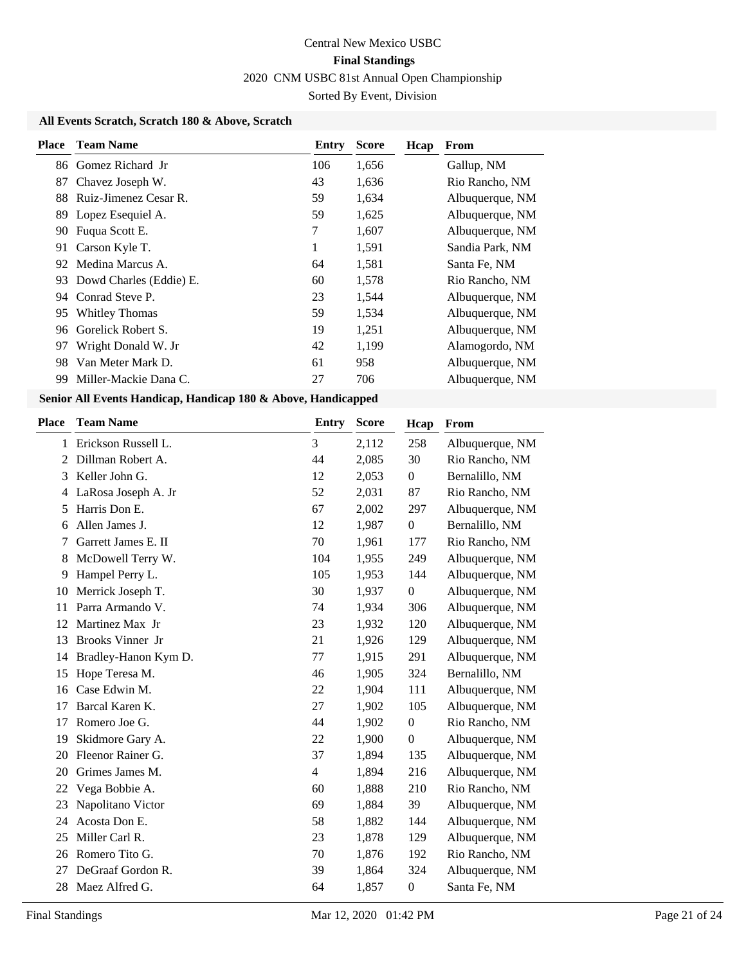### **All Events Scratch, Scratch 180 & Above, Scratch**

| Place | <b>Team Name</b>        | Entry | <b>Score</b> | Hcap | From            |
|-------|-------------------------|-------|--------------|------|-----------------|
|       | 86 Gomez Richard Jr     | 106   | 1,656        |      | Gallup, NM      |
| 87    | Chavez Joseph W.        | 43    | 1,636        |      | Rio Rancho, NM  |
| 88    | Ruiz-Jimenez Cesar R.   | 59    | 1,634        |      | Albuquerque, NM |
| 89    | Lopez Esequiel A.       | 59    | 1,625        |      | Albuquerque, NM |
| 90    | Fuqua Scott E.          | 7     | 1,607        |      | Albuquerque, NM |
| 91    | Carson Kyle T.          | 1     | 1,591        |      | Sandia Park, NM |
| 92    | Medina Marcus A.        | 64    | 1,581        |      | Santa Fe, NM    |
| 93    | Dowd Charles (Eddie) E. | 60    | 1,578        |      | Rio Rancho, NM  |
| 94    | Conrad Steve P.         | 23    | 1,544        |      | Albuquerque, NM |
| 95    | <b>Whitley Thomas</b>   | 59    | 1,534        |      | Albuquerque, NM |
| 96    | Gorelick Robert S.      | 19    | 1,251        |      | Albuquerque, NM |
| 97    | Wright Donald W. Jr     | 42    | 1,199        |      | Alamogordo, NM  |
| 98    | Van Meter Mark D.       | 61    | 958          |      | Albuquerque, NM |
| 99    | Miller-Mackie Dana C.   | 27    | 706          |      | Albuquerque, NM |

**Senior All Events Handicap, Handicap 180 & Above, Handicapped**

| <b>Place</b> | <b>Team Name</b>     | <b>Entry</b>   | <b>Score</b> | Hcap             | From            |
|--------------|----------------------|----------------|--------------|------------------|-----------------|
| 1            | Erickson Russell L.  | 3              | 2,112        | 258              | Albuquerque, NM |
| 2            | Dillman Robert A.    | 44             | 2,085        | 30               | Rio Rancho, NM  |
| 3            | Keller John G.       | 12             | 2,053        | $\boldsymbol{0}$ | Bernalillo, NM  |
| 4            | LaRosa Joseph A. Jr  | 52             | 2,031        | 87               | Rio Rancho, NM  |
| 5            | Harris Don E.        | 67             | 2,002        | 297              | Albuquerque, NM |
| 6            | Allen James J.       | 12             | 1,987        | $\boldsymbol{0}$ | Bernalillo, NM  |
| 7            | Garrett James E. II  | 70             | 1,961        | 177              | Rio Rancho, NM  |
| 8            | McDowell Terry W.    | 104            | 1,955        | 249              | Albuquerque, NM |
| 9            | Hampel Perry L.      | 105            | 1,953        | 144              | Albuquerque, NM |
| 10           | Merrick Joseph T.    | 30             | 1,937        | $\boldsymbol{0}$ | Albuquerque, NM |
| 11           | Parra Armando V.     | 74             | 1,934        | 306              | Albuquerque, NM |
| 12           | Martinez Max Jr      | 23             | 1,932        | 120              | Albuquerque, NM |
| 13           | Brooks Vinner Jr     | 21             | 1,926        | 129              | Albuquerque, NM |
| 14           | Bradley-Hanon Kym D. | 77             | 1,915        | 291              | Albuquerque, NM |
| 15           | Hope Teresa M.       | 46             | 1,905        | 324              | Bernalillo, NM  |
| 16           | Case Edwin M.        | 22             | 1,904        | 111              | Albuquerque, NM |
| 17           | Barcal Karen K.      | 27             | 1,902        | 105              | Albuquerque, NM |
| 17           | Romero Joe G.        | 44             | 1,902        | $\boldsymbol{0}$ | Rio Rancho, NM  |
| 19           | Skidmore Gary A.     | 22             | 1,900        | $\boldsymbol{0}$ | Albuquerque, NM |
| 20           | Fleenor Rainer G.    | 37             | 1,894        | 135              | Albuquerque, NM |
| 20           | Grimes James M.      | $\overline{4}$ | 1,894        | 216              | Albuquerque, NM |
| 22           | Vega Bobbie A.       | 60             | 1,888        | 210              | Rio Rancho, NM  |
| 23           | Napolitano Victor    | 69             | 1,884        | 39               | Albuquerque, NM |
| 24           | Acosta Don E.        | 58             | 1,882        | 144              | Albuquerque, NM |
| 25           | Miller Carl R.       | 23             | 1,878        | 129              | Albuquerque, NM |
| 26           | Romero Tito G.       | 70             | 1,876        | 192              | Rio Rancho, NM  |
| 27           | DeGraaf Gordon R.    | 39             | 1,864        | 324              | Albuquerque, NM |
| 28           | Maez Alfred G.       | 64             | 1,857        | $\boldsymbol{0}$ | Santa Fe, NM    |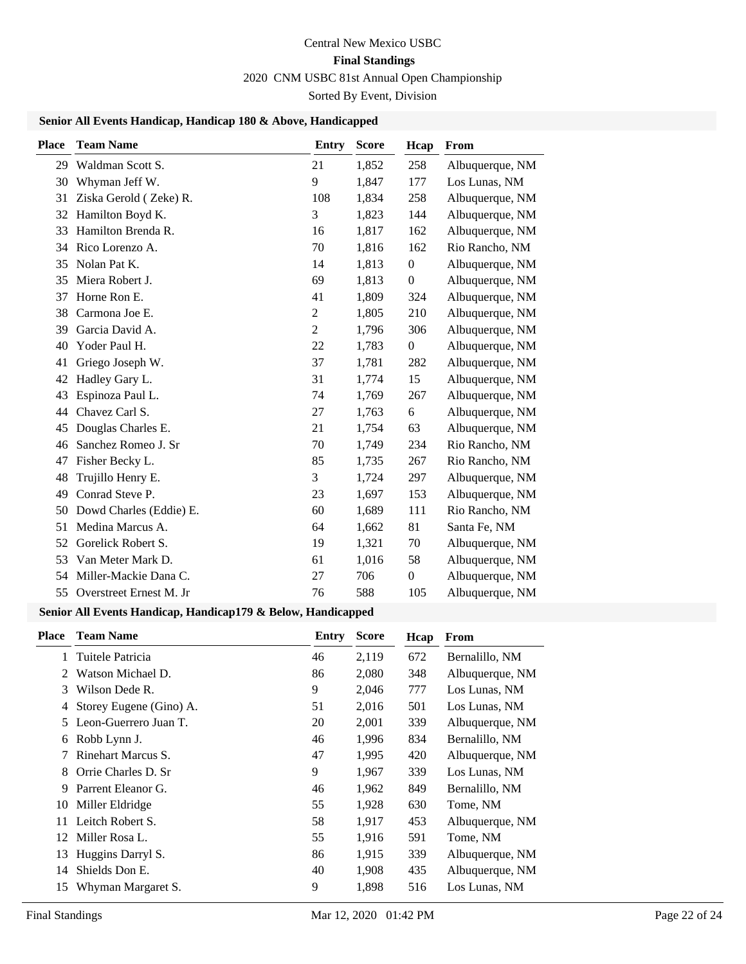### **Senior All Events Handicap, Handicap 180 & Above, Handicapped**

| Place | <b>Team Name</b>        | <b>Entry</b>   | <b>Score</b> | Hcap             | From            |
|-------|-------------------------|----------------|--------------|------------------|-----------------|
| 29    | Waldman Scott S.        | 21             | 1,852        | 258              | Albuquerque, NM |
| 30    | Whyman Jeff W.          | 9              | 1,847        | 177              | Los Lunas, NM   |
| 31    | Ziska Gerold (Zeke) R.  | 108            | 1,834        | 258              | Albuquerque, NM |
| 32    | Hamilton Boyd K.        | 3              | 1,823        | 144              | Albuquerque, NM |
| 33    | Hamilton Brenda R.      | 16             | 1,817        | 162              | Albuquerque, NM |
| 34    | Rico Lorenzo A.         | 70             | 1,816        | 162              | Rio Rancho, NM  |
| 35    | Nolan Pat K.            | 14             | 1,813        | $\boldsymbol{0}$ | Albuquerque, NM |
| 35    | Miera Robert J.         | 69             | 1,813        | $\boldsymbol{0}$ | Albuquerque, NM |
| 37    | Horne Ron E.            | 41             | 1,809        | 324              | Albuquerque, NM |
| 38    | Carmona Joe E.          | $\overline{c}$ | 1,805        | 210              | Albuquerque, NM |
| 39    | Garcia David A.         | $\overline{c}$ | 1,796        | 306              | Albuquerque, NM |
| 40    | Yoder Paul H.           | 22             | 1,783        | $\boldsymbol{0}$ | Albuquerque, NM |
| 41    | Griego Joseph W.        | 37             | 1,781        | 282              | Albuquerque, NM |
| 42    | Hadley Gary L.          | 31             | 1,774        | 15               | Albuquerque, NM |
| 43    | Espinoza Paul L.        | 74             | 1,769        | 267              | Albuquerque, NM |
| 44    | Chavez Carl S.          | 27             | 1,763        | 6                | Albuquerque, NM |
| 45    | Douglas Charles E.      | 21             | 1,754        | 63               | Albuquerque, NM |
| 46    | Sanchez Romeo J. Sr     | 70             | 1,749        | 234              | Rio Rancho, NM  |
| 47    | Fisher Becky L.         | 85             | 1,735        | 267              | Rio Rancho, NM  |
| 48    | Trujillo Henry E.       | 3              | 1,724        | 297              | Albuquerque, NM |
| 49    | Conrad Steve P.         | 23             | 1,697        | 153              | Albuquerque, NM |
| 50    | Dowd Charles (Eddie) E. | 60             | 1,689        | 111              | Rio Rancho, NM  |
| 51    | Medina Marcus A.        | 64             | 1,662        | 81               | Santa Fe, NM    |
| 52    | Gorelick Robert S.      | 19             | 1,321        | 70               | Albuquerque, NM |
| 53    | Van Meter Mark D.       | 61             | 1,016        | 58               | Albuquerque, NM |
| 54    | Miller-Mackie Dana C.   | 27             | 706          | $\boldsymbol{0}$ | Albuquerque, NM |
| 55    | Overstreet Ernest M. Jr | 76             | 588          | 105              | Albuquerque, NM |

### **Senior All Events Handicap, Handicap179 & Below, Handicapped**

| <b>Place</b> | <b>Team Name</b>        | Entry | <b>Score</b> | Hcap | From            |
|--------------|-------------------------|-------|--------------|------|-----------------|
|              | Tuitele Patricia        | 46    | 2,119        | 672  | Bernalillo, NM  |
|              | Watson Michael D.       | 86    | 2,080        | 348  | Albuquerque, NM |
| 3            | Wilson Dede R.          | 9     | 2,046        | 777  | Los Lunas, NM   |
| 4            | Storey Eugene (Gino) A. | 51    | 2,016        | 501  | Los Lunas, NM   |
| 5.           | Leon-Guerrero Juan T.   | 20    | 2,001        | 339  | Albuquerque, NM |
| 6            | Robb Lynn J.            | 46    | 1,996        | 834  | Bernalillo, NM  |
|              | Rinehart Marcus S.      | 47    | 1,995        | 420  | Albuquerque, NM |
| 8            | Orrie Charles D. Sr     | 9     | 1,967        | 339  | Los Lunas, NM   |
| 9            | Parrent Eleanor G.      | 46    | 1,962        | 849  | Bernalillo, NM  |
| 10           | Miller Eldridge         | 55    | 1,928        | 630  | Tome, NM        |
| 11           | Leitch Robert S.        | 58    | 1,917        | 453  | Albuquerque, NM |
| 12           | Miller Rosa L.          | 55    | 1,916        | 591  | Tome, NM        |
| 13           | Huggins Darryl S.       | 86    | 1,915        | 339  | Albuquerque, NM |
| 14           | Shields Don E.          | 40    | 1,908        | 435  | Albuquerque, NM |
| 15           | Whyman Margaret S.      | 9     | 1,898        | 516  | Los Lunas, NM   |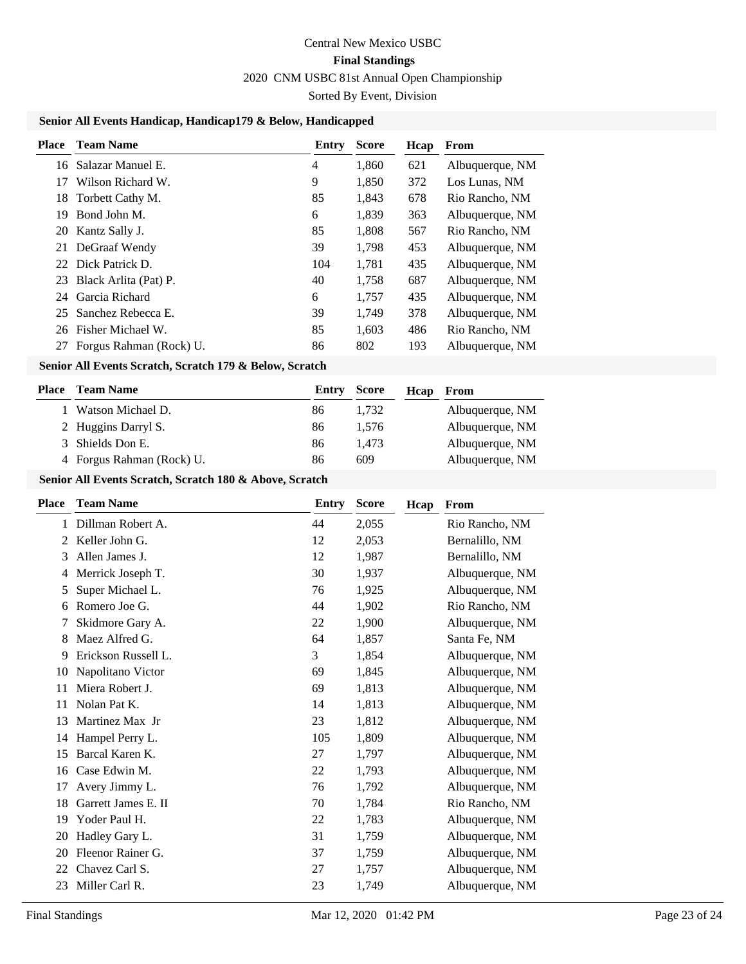### **Senior All Events Handicap, Handicap179 & Below, Handicapped**

| Place | <b>Team Name</b>        | Entry | <b>Score</b> | Hcap | From            |
|-------|-------------------------|-------|--------------|------|-----------------|
| 16    | Salazar Manuel E.       | 4     | 1,860        | 621  | Albuquerque, NM |
| 17    | Wilson Richard W.       | 9     | 1,850        | 372  | Los Lunas, NM   |
| 18    | Torbett Cathy M.        | 85    | 1,843        | 678  | Rio Rancho, NM  |
| 19    | Bond John M.            | 6     | 1,839        | 363  | Albuquerque, NM |
| 20    | Kantz Sally J.          | 85    | 1,808        | 567  | Rio Rancho, NM  |
| 21    | DeGraaf Wendy           | 39    | 1,798        | 453  | Albuquerque, NM |
| 22    | Dick Patrick D.         | 104   | 1,781        | 435  | Albuquerque, NM |
| 23    | Black Arlita (Pat) P.   | 40    | 1,758        | 687  | Albuquerque, NM |
| 24    | Garcia Richard          | 6     | 1,757        | 435  | Albuquerque, NM |
| 25    | Sanchez Rebecca E.      | 39    | 1,749        | 378  | Albuquerque, NM |
| 26    | Fisher Michael W.       | 85    | 1,603        | 486  | Rio Rancho, NM  |
| 27    | Forgus Rahman (Rock) U. | 86    | 802          | 193  | Albuquerque, NM |
|       |                         |       |              |      |                 |

### **Senior All Events Scratch, Scratch 179 & Below, Scratch**

| Place | <b>Team Name</b>          | <b>Entry Score</b> |       | Hcap | From            |
|-------|---------------------------|--------------------|-------|------|-----------------|
|       | 1 Watson Michael D.       | 86                 | 1.732 |      | Albuquerque, NM |
|       | 2 Huggins Darryl S.       | 86                 | 1.576 |      | Albuquerque, NM |
|       | 3 Shields Don E.          | 86                 | 1.473 |      | Albuquerque, NM |
|       | 4 Forgus Rahman (Rock) U. | 86                 | 609   |      | Albuquerque, NM |

### **Senior All Events Scratch, Scratch 180 & Above, Scratch**

| Place | <b>Team Name</b>    | Entry | <b>Score</b> | Hcap | From            |
|-------|---------------------|-------|--------------|------|-----------------|
| 1     | Dillman Robert A.   | 44    | 2,055        |      | Rio Rancho, NM  |
| 2     | Keller John G.      | 12    | 2,053        |      | Bernalillo, NM  |
| 3     | Allen James J.      | 12    | 1,987        |      | Bernalillo, NM  |
| 4     | Merrick Joseph T.   | 30    | 1,937        |      | Albuquerque, NM |
| 5     | Super Michael L.    | 76    | 1,925        |      | Albuquerque, NM |
| 6     | Romero Joe G.       | 44    | 1,902        |      | Rio Rancho, NM  |
| 7     | Skidmore Gary A.    | 22    | 1,900        |      | Albuquerque, NM |
| 8     | Maez Alfred G.      | 64    | 1,857        |      | Santa Fe, NM    |
| 9     | Erickson Russell L. | 3     | 1,854        |      | Albuquerque, NM |
| 10    | Napolitano Victor   | 69    | 1,845        |      | Albuquerque, NM |
| 11    | Miera Robert J.     | 69    | 1,813        |      | Albuquerque, NM |
| 11    | Nolan Pat K.        | 14    | 1,813        |      | Albuquerque, NM |
| 13    | Martinez Max Jr     | 23    | 1,812        |      | Albuquerque, NM |
| 14    | Hampel Perry L.     | 105   | 1,809        |      | Albuquerque, NM |
| 15    | Barcal Karen K.     | 27    | 1,797        |      | Albuquerque, NM |
| 16    | Case Edwin M.       | 22    | 1,793        |      | Albuquerque, NM |
| 17    | Avery Jimmy L.      | 76    | 1,792        |      | Albuquerque, NM |
| 18    | Garrett James E. II | 70    | 1,784        |      | Rio Rancho, NM  |
| 19    | Yoder Paul H.       | 22    | 1,783        |      | Albuquerque, NM |
| 20    | Hadley Gary L.      | 31    | 1,759        |      | Albuquerque, NM |
| 20    | Fleenor Rainer G.   | 37    | 1,759        |      | Albuquerque, NM |
| 22    | Chavez Carl S.      | 27    | 1,757        |      | Albuquerque, NM |
| 23    | Miller Carl R.      | 23    | 1,749        |      | Albuquerque, NM |
|       |                     |       |              |      |                 |